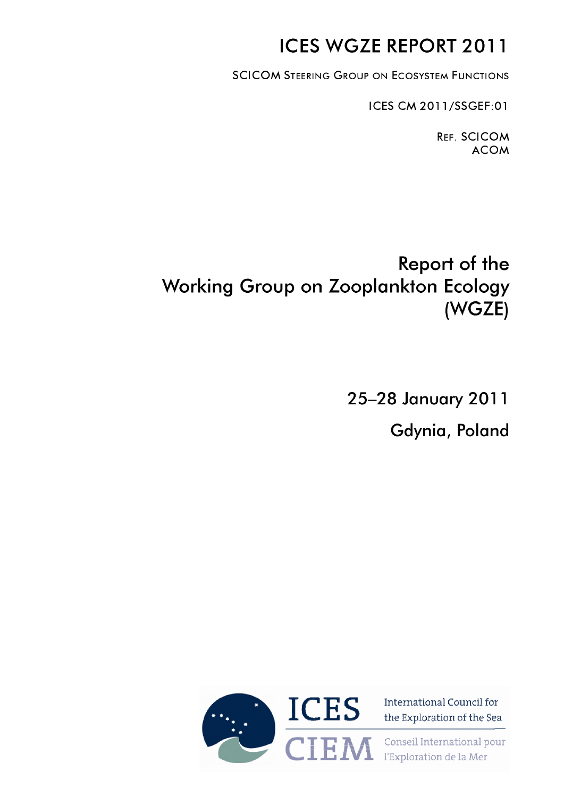# **ICES WGZE REPORT 2011**

**SCICOM STEERING GROUP ON ECOSYSTEM FUNCTIONS** 

ICES CM 2011 /SSGEF:01

**Ref.** SCICOM ACOM

# **Report of the Working Group on Zooplankton Ecology (WGZE)**

**25-28 January 2011**

**Gdynia, Poland**



the Exploration of the Sea

 $\mathbf{T} \mathbf{T} \mathbf{A}$   $\mathbf{A}$  Conseil International pour  $\blacksquare$   $\blacksquare$   $\blacksquare$   $\blacksquare$   $\blacksquare$   $\blacksquare$   $\blacksquare$   $\blacksquare$   $\blacksquare$   $\blacksquare$   $\blacksquare$   $\blacksquare$   $\blacksquare$   $\blacksquare$   $\blacksquare$   $\blacksquare$   $\blacksquare$   $\blacksquare$   $\blacksquare$   $\blacksquare$   $\blacksquare$   $\blacksquare$   $\blacksquare$   $\blacksquare$   $\blacksquare$   $\blacksquare$   $\blacksquare$   $\blacksquare$   $\blacksquare$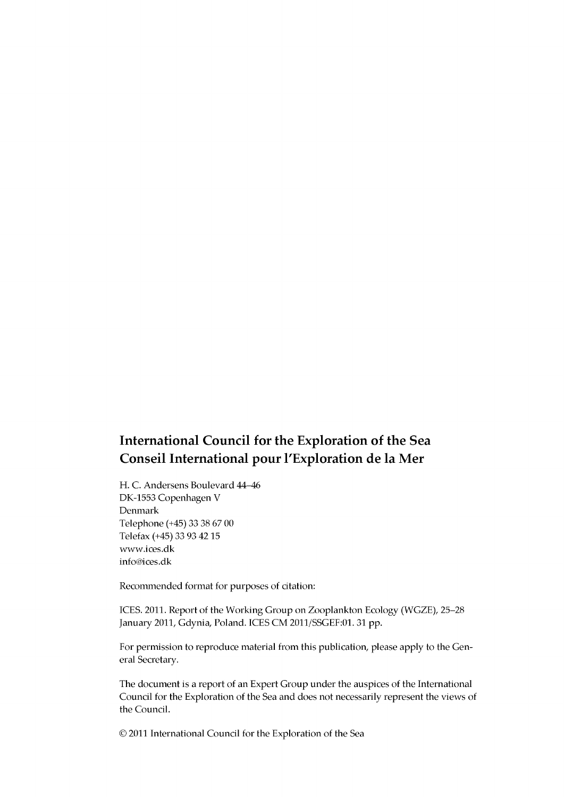# **International Council for the Exploration of the Sea Conseil International pour l'Exploration de la Mer**

**H. C. Andersens Boulevard 44-46 DK-1553 Copenhagen V Denmark Telephone (+45) 33 38 67 00 Telefax (+45) 33 93 42 15 [www.ices.dk](http://www.ices.dk) [info@ices.dk](mailto:info@ices.dk)**

**Recommended format for purposes of citation:**

**ICES. 2011. Report of the Working Group on Zooplankton Ecology (WGZE), 25-28 January 2011, Gdynia, Poland. ICES CM 2011/SSGEF:01. 31 pp.**

**For permission to reproduce material from this publication, please apply to the General Secretary.**

**The document is a report of an Expert Group under the auspices of the International Council for the Exploration of the Sea and does not necessarily represent the views of the Council.**

**© 2011 International Council for the Exploration of the Sea**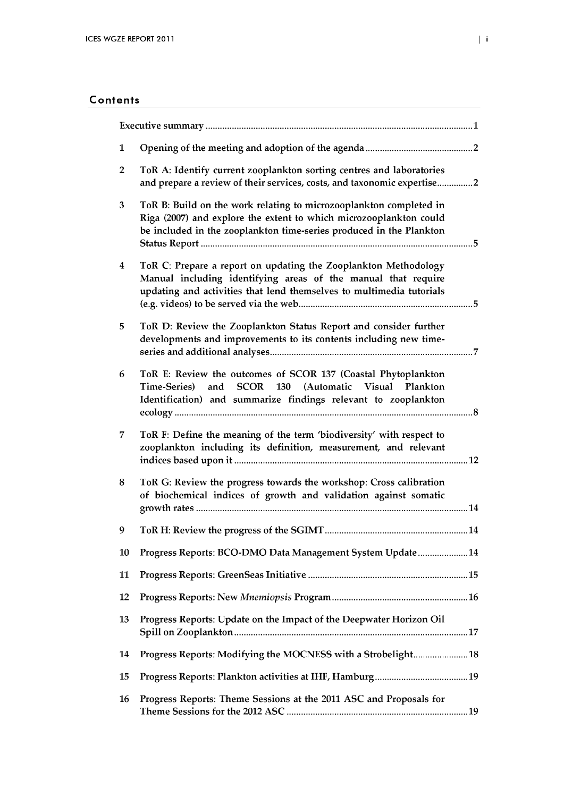| 1                       |                                                                                                                                                                                                                  |  |
|-------------------------|------------------------------------------------------------------------------------------------------------------------------------------------------------------------------------------------------------------|--|
| $\overline{\mathbf{2}}$ | ToR A: Identify current zooplankton sorting centres and laboratories<br>and prepare a review of their services, costs, and taxonomic expertise2                                                                  |  |
| 3                       | ToR B: Build on the work relating to microzooplankton completed in<br>Riga (2007) and explore the extent to which microzooplankton could<br>be included in the zooplankton time-series produced in the Plankton  |  |
| $\boldsymbol{4}$        | ToR C: Prepare a report on updating the Zooplankton Methodology<br>Manual including identifying areas of the manual that require<br>updating and activities that lend themselves to multimedia tutorials         |  |
| 5                       | ToR D: Review the Zooplankton Status Report and consider further<br>developments and improvements to its contents including new time-                                                                            |  |
| 6                       | ToR E: Review the outcomes of SCOR 137 (Coastal Phytoplankton<br>and<br><b>SCOR</b><br>130<br>(Automatic<br>Visual<br>Time-Series)<br>Plankton<br>Identification) and summarize findings relevant to zooplankton |  |
| 7                       | ToR F: Define the meaning of the term 'biodiversity' with respect to<br>zooplankton including its definition, measurement, and relevant                                                                          |  |
| 8                       | ToR G: Review the progress towards the workshop: Cross calibration<br>of biochemical indices of growth and validation against somatic                                                                            |  |
| 9                       |                                                                                                                                                                                                                  |  |
| 10                      | Progress Reports: BCO-DMO Data Management System Update14                                                                                                                                                        |  |
| 11                      |                                                                                                                                                                                                                  |  |
| 12                      |                                                                                                                                                                                                                  |  |
| 13                      | Progress Reports: Update on the Impact of the Deepwater Horizon Oil                                                                                                                                              |  |
| 14                      | Progress Reports: Modifying the MOCNESS with a Strobelight 18                                                                                                                                                    |  |
| 15                      |                                                                                                                                                                                                                  |  |
| 16                      | Progress Reports: Theme Sessions at the 2011 ASC and Proposals for                                                                                                                                               |  |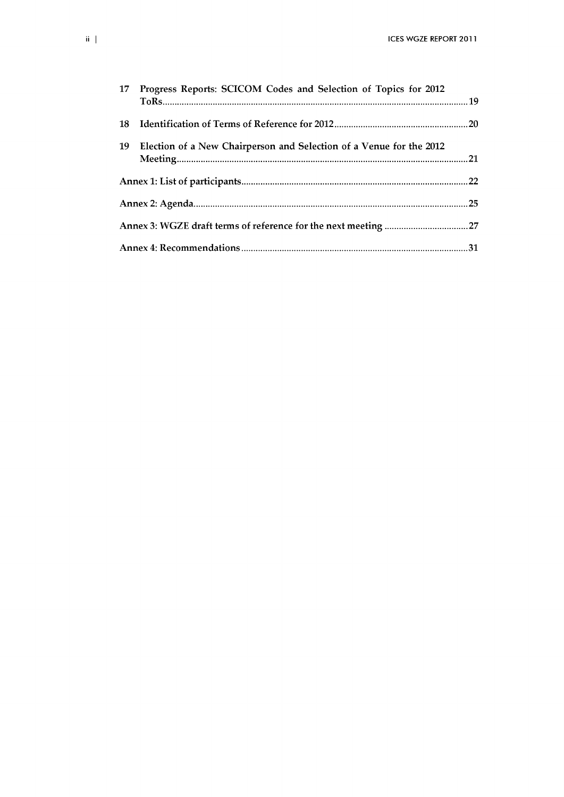|    | 17 Progress Reports: SCICOM Codes and Selection of Topics for 2012  |  |
|----|---------------------------------------------------------------------|--|
| 18 |                                                                     |  |
| 19 | Election of a New Chairperson and Selection of a Venue for the 2012 |  |
|    |                                                                     |  |
|    |                                                                     |  |
|    |                                                                     |  |
|    |                                                                     |  |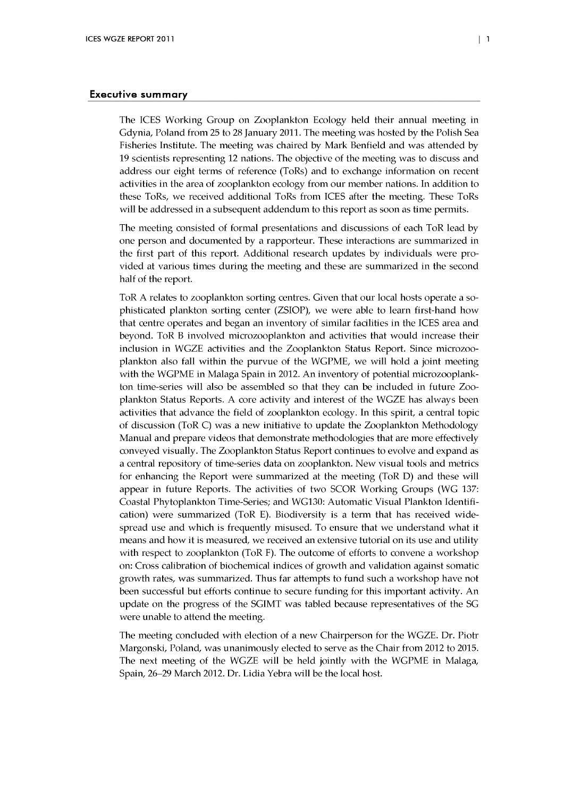#### Executive summary

The ICES Working Group on Zooplankton Ecology held their annual meeting in Gdynia, Poland from 25 to 28 January 2011. The meeting was hosted by the Polish Sea Fisheries Institute. The meeting was chaired by Mark Benfield and was attended by 19 scientists representing 12 nations. The objective of the meeting was to discuss and address our eight terms of reference (ToRs) and to exchange information on recent activities in the area of zooplankton ecology from our member nations. In addition to these ToRs, we received additional ToRs from ICES after the meeting. These ToRs will be addressed in a subsequent addendum to this report as soon as time permits.

The meeting consisted of formal presentations and discussions of each ToR lead by one person and documented by a rapporteur. These interactions are summarized in the first part of this report. A dditional research updates by individuals were provided at various times during the meeting and these are summarized in the second half of the report.

ToR A relates to zooplankton sorting centres. Given that our local hosts operate a sophisticated plankton sorting center (ZSIOP), we were able to learn first-hand how that centre operates and began an inventory of similar facilities in the ICES area and beyond. ToR B involved microzooplankton and activities that would increase their inclusion in WGZE activities and the Zooplankton Status Report. Since microzooplankton also fall within the purvue of the WGPME, we will hold a joint meeting with the WGPME in Malaga Spain in 2012. An inventory of potential microzooplankton time-series will also be assembled so that they can be included in future Zooplankton Status Reports. A core activity and interest of the WGZE has always been activities that advance the field of Zooplankton ecology. In this spirit, a central topic of discussion (ToR C) was a new initiative to update the Zooplankton Methodology Manual and prepare videos that demonstrate methodologies that are more effectively conveyed visually. The Zooplankton Status Report continues to evolve and expand as a central repository of time-series data on zooplankton. New visual tools and metrics for enhancing the Report were summarized at the meeting (ToR D) and these will appear in future Reports. The activities of two SCOR Working Groups (WG 137: Coastal Phytoplankton Time-Series; and WG130: Automatic Visual Plankton Identification) were summarized (ToR E). Biodiversity is a term that has received widespread use and which is frequently misused. To ensure that we understand what it means and how it is measured, we received an extensive tutorial on its use and utility with respect to zooplankton (ToR F). The outcome of efforts to convene a workshop on: Cross calibration of biochemical indices of grow th and validation against somatic growth rates, was summarized. Thus far attempts to fund such a workshop have not been successful but efforts continue to secure funding for this important activity. An update on the progress of the SGIMT was tabled because representatives of the SG were unable to attend the meeting.

The meeting concluded with election of a new Chairperson for the WGZE. Dr. Piotr Margonski, Poland, was unanimously elected to serve as the Chair from 2012 to 2015. The next meeting of the WGZE will be held jointly with the WGPME in Malaga, Spain, 26–29 March 2012. Dr. Lidia Yebra will be the local host.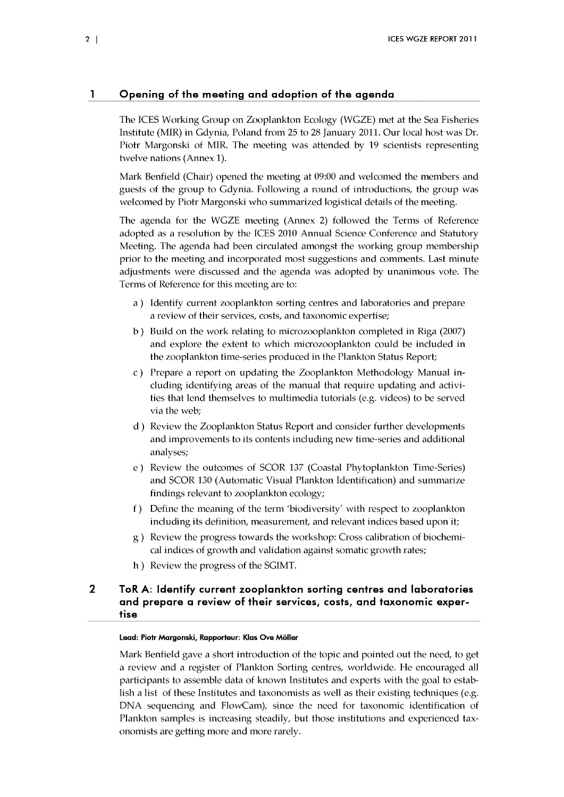## 1 Opening of the meeting and adoption of the agenda

The ICES Working Group on Zooplankton Ecology (WGZE) met at the Sea Fisheries Institute (MIR) in Gdynia, Poland from 25 to 28 January 2011. Our local host was Dr. Piotr Margonski of MIR. The meeting was attended by 19 scientists representing twelve nations (Annex 1).

Mark Benfield (Chair) opened the meeting at 09:00 and welcomed the members and guests of the group to Gdynia. Following a round of introductions, the group was welcomed by Piotr Margonski who summarized logistical details of the meeting.

The agenda for the WGZE meeting (Annex 2) followed the Terms of Reference adopted as a resolution by the ICES 2010 Annual Science Conference and Statutory Meeting. The agenda had been circulated amongst the working group membership prior to the meeting and incorporated most suggestions and comments. Last minute adjustments were discussed and the agenda was adopted by unanimous vote. The Terms of Reference for this meeting are to:

- a ) Identify current Zooplankton sorting centres and laboratories and prepare a review of their services, costs, and taxonomic expertise;
- b) Build on the work relating to microzooplankton completed in Riga (2007) and explore the extent to which microzooplankton could be included in the zooplankton time-series produced in the Plankton Status Report;
- c) Prepare a report on updating the Zooplankton Methodology Manual including identifying areas of the manual that require updating and activities that lend themselves to multimedia tutorials (e.g. videos) to be served via the web;
- d ) Review the Zooplankton Status Report and consider further developments and improvements to its contents including new time-series and additional analyses;
- e ) Review the outcomes of SCOR 137 (Coastal Phytoplankton Time-Series) and SCOR 130 (Automatic Visual Plankton Identification) and summarize findings relevant to zooplankton ecology;
- f) Define the meaning of the term 'biodiversity' with respect to zooplankton including its definition, measurement, and relevant indices based upon it;
- g ) Review the progress towards the workshop: Cross calibration of biochemical indices of growth and validation against somatic growth rates;
- h ) Review the progress of the SGIMT.

## 2 ToR A: Identify current Zooplankton sorting centres and laboratories and prepare a review of their services, costs, and taxonomic expertise

#### **Lead: Piotr Margonski, Rapporteur: Klas Ove Möller**

Mark Benfield gave a short introduction of the topic and pointed out the need, to get a review and a register of Plankton Sorting centres, worldwide. He encouraged all participants to assemble data of known Institutes and experts with the goal to establish a list of these Institutes and taxonomists as well as their existing techniques (e.g. DNA sequencing and FlowCam), since the need for taxonomic identification of Plankton samples is increasing steadily, but those institutions and experienced taxonomists are getting more and more rarely.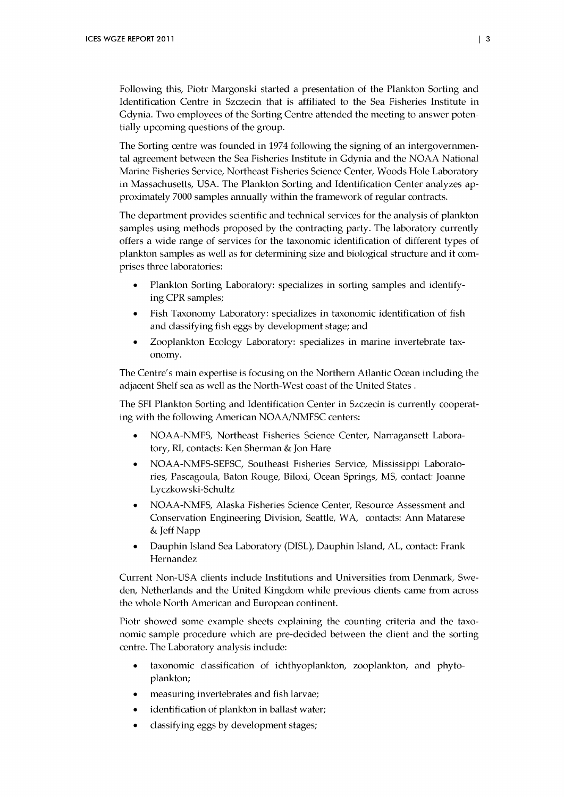Following this, Piotr Margonski started a presentation of the Plankton Sorting and Identification Centre in Szczecin that is affiliated to the Sea Fisheries Institute in Gdynia. Two employees of the Sorting Centre attended the meeting to answer potentially upcoming questions of the group.

The Sorting centre was founded in 1974 following the signing of an intergovernmental agreement between the Sea Fisheries Institute in Gdynia and the NOAA National Marine Fisheries Service, Northeast Fisheries Science Center, Woods Hole Laboratory in Massachusetts, USA. The Plankton Sorting and Identification Center analyzes approximately 7000 samples annually within the framework of regular contracts.

The department provides scientific and technical services for the analysis of plankton samples using methods proposed by the contracting party. The laboratory currently offers a w ide range of services for the taxonomic identification of different types of plankton samples as well as for determining size and biological structure and it comprises three laboratories:

- Plankton Sorting Laboratory: specializes in sorting samples and identifying CPR samples;
- Fish Taxonomy Laboratory: specializes in taxonomic identification of fish and classifying fish eggs by development stage; and
- Zooplankton Ecology Laboratory: specializes in marine invertebrate taxonomy.

The Centre's main expertise is focusing on the Northern Atlantic Ocean including the adjacent Shelf sea as well as the North-West coast of the United States.

The SFI Plankton Sorting and Identification Center in Szczecin is currently cooperating with the following American NOAA/NMFSC centers:

- NOAA-NMFS, Northeast Fisheries Science Center, Narragansett Laboratory, RI, contacts: Ken Sherman & Jon Hare
- NOAA-NMFS-SEFSC, Southeast Fisheries Service, Mississippi Laboratories, Pascagoula, Baton Rouge, Biloxi, Ocean Springs, MS, contact: Joanne Lyczkowski-Schultz
- NOAA-NMFS, Alaska Fisheries Science Center, Resource Assessment and Conservation Engineering Division, Seattle, WA, contacts: Ann Matarese & Jeff Napp
- Dauphin Island Sea Laboratory (DISL), Dauphin Island, AL, contact: Frank Hernandez

Current Non-USA clients include Institutions and Universities from Denmark, Sweden, Netherlands and the United Kingdom while previous clients came from across the whole North American and European continent.

Piotr showed some example sheets explaining the counting criteria and the taxonomic sample procedure which are pre-decided between the client and the sorting centre. The Laboratory analysis indude:

- taxonomic dassification of ichthyoplankton, Zooplankton, and phytoplankton;
- measuring invertebrates and fish larvae;
- identification of plankton in ballast water;
- classifying eggs by development stages;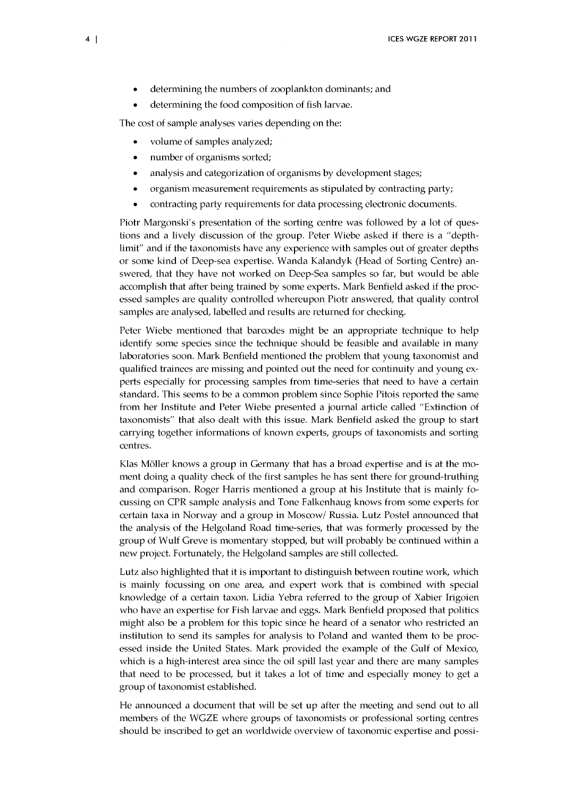- determining the numbers of zooplankton dominants; and
- determining the food composition of fish larvae.

The cost of sample analyses varies depending on the:

- volume of samples analyzed;
- number of organisms sorted;
- analysis and categorization of organisms by development stages;
- organism measurement requirements as stipulated by contracting party;
- contracting party requirements for data processing electronic documents.

Piotr Margonski's presentation of the sorting centre was followed by a lot of questions and a lively discussion of the group. Peter Wiebe asked if there is a "depthlimit" and if the taxonomists have any experience with samples out of greater depths or some kind of Deep-sea expertise. W anda Kalandyk (Head of Sorting Centre) answered, that they have not worked on Deep-Sea samples so far, but would be able accomplish that after being trained by some experts. Mark Benfield asked if the processed samples are quality controlled whereupon Piotr answered, that quality control samples are analysed, labelled and results are returned for checking.

Peter Wiebe mentioned that barcodes might be an appropriate technique to help identify some species since the technique should be feasible and available in many laboratories soon. Mark Benfield mentioned the problem that young taxonomist and qualified trainees are missing and pointed out the need for continuity and young experts especially for processing samples from time-series that need to have a certain standard. This seems to be a common problem since Sophie Pitois reported the same from her Institute and Peter Wiebe presented a journal article called "Extinction of taxonomists" that also dealt with this issue. Mark Benfield asked the group to start carrying together informations of known experts, groups of taxonomists and sorting centres.

Klas Möller knows a group in Germany that has a broad expertise and is at the moment doing a quality check of the first samples he has sent there for ground-truthing and comparison. Roger Harris mentioned a group at his Institute that is mainly focussing on CPR sample analysis and Tone Falkenhaug knows from some experts for certain taxa in Norway and a group in Moscow/ Russia. Lutz Postel announced that the analysis of the Helgoland Road time-series, that was formerly processed by the group of Wulf Greve is momentary stopped, but will probably be continued within a new project. Fortunately, the Helgoland samples are still collected.

Lutz also highlighted that it is important to distinguish between routine work, which is mainly focussing on one area, and expert work that is combined with special know ledge of a certain taxon. Lidia Yebra referred to the group of Xabier Irigoien who have an expertise for Fish larvae and eggs. Mark Benfield proposed that politics might also be a problem for this topic since he heard of a senator who restricted an institution to send its samples for analysis to Poland and wanted them to be processed inside the United States. Mark provided the example of the Gulf of Mexico, which is a high-interest area since the oil spill last year and there are many samples that need to be processed, but it takes a lot of time and especially money to get a group of taxonomist established.

He announced a document that will be set up after the meeting and send out to all members of the WGZE where groups of taxonomists or professional sorting centres should be inscribed to get an worldwide overview of taxonomic expertise and possi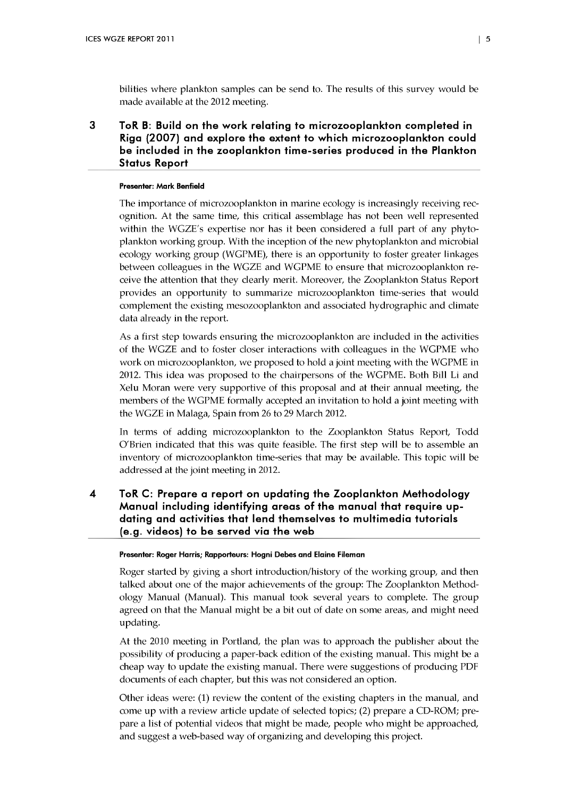bilities where plankton samples can be send to. The results of this survey would be made available at the 2012 meeting.

3 ToR B: Build on the work relating to microzooplankton completed in Riga (2007) and explore the extent to which microzooplankton could be included in the Zooplankton time-series produced in the Plankton Status Report

#### **Presenter: Mark Benfield**

The importance of microzooplankton in marine ecology is increasingly receiving recognition. At the same time, this critical assemblage has not been well represented within the WGZE's expertise nor has it been considered a full part of any phytoplankton working group. With the inception of the new phytoplankton and microbial ecology working group (WGPME), there is an opportunity to foster greater linkages between colleagues in the WGZE and WGPME to ensure that microzooplankton receive the attention that they clearly merit. Moreover, the Zooplankton Status Report provides an opportunity to summarize microzooplankton time-series that would complement the existing mesozooplankton and associated hydrographic and climate data already in the report.

As a first step towards ensuring the microzooplankton are included in the activities of the WGZE and to foster closer interactions w ith colleagues in the WGPME who work on microzooplankton, we proposed to hold a joint meeting with the WGPME in 2012. This idea was proposed to the chairpersons of the WGPME. Both Bill Li and Xelu Moran were very supportive of this proposal and at their annual meeting, the m embers of the WGPME formally accepted an invitation to hold a joint meeting with the WGZE in Malaga, Spain from 26 to 29 March 2012.

In terms of adding microzooplankton to the Zooplankton Status Report, Todd O'Brien indicated that this was quite feasible. The first step will be to assemble an inventory of microzooplankton time-series that may be available. This topic will be addressed at the joint meeting in 2012.

4 ToR C: Prepare a report on updating the Zooplankton Methodology Manual including identifying areas of the manual that require updating and activities that lend themselves to multimedia tutorials (e.g. videos) to be served via the web

#### **Presenter: Roger Harris; Rapporteurs: Hogni Debes and Elaine Fileman**

Roger started by giving a short introduction/history of the working group, and then talked about one of the major achievements of the group: The Zooplankton Methodology Manual (Manual). This manual took several years to complete. The group agreed on that the Manual might be a bit out of date on some areas, and might need updating.

At the 2010 meeting in Portland, the plan was to approach the publisher about the possibility of producing a paper-back edition of the existing manual. This might be a cheap way to update the existing manual. There were suggestions of producing PDF documents of each chapter, but this was not considered an option.

Other ideas were: (1) review the content of the existing chapters in the manual, and come up with a review article update of selected topics; (2) prepare a CD-ROM; prepare a list of potential videos that might be made, people who might be approached, and suggest a web-based way of organizing and developing this project.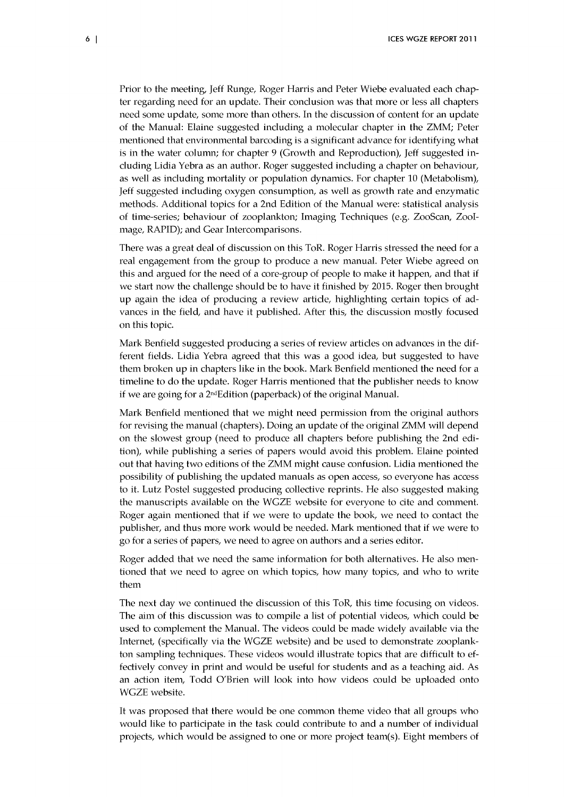Prior to the meeting, Jeff Runge, Roger Harris and Peter Wiebe evaluated each chapter regarding need for an update. Their conclusion was that more or less all chapters need some update, some more than others. In the discussion of content for an update of the Manual: Elaine suggested including a molecular chapter in the ZMM; Peter mentioned that environmental barcoding is a significant advance for identifying what is in the water column; for chapter 9 (Growth and Reproduction), Jeff suggested including Lidia Yebra as an author. Roger suggested including a chapter on behaviour, as well as including mortality or population dynamics. For chapter 10 (Metabolism), Jeff suggested including oxygen consumption, as well as growth rate and enzymatic methods. Additional topics for a 2nd Edition of the Manual were: statistical analysis of time-series; behaviour of Zooplankton; Im aging Techniques (e.g. ZooScan, Zoolmage, RAPID); and Gear Intercomparisons.

There was a great deal of discussion on this ToR. Roger Harris stressed the need for a real engagement from the group to produce a new manual. Peter Wiebe agreed on this and argued for the need of a core-group of people to make it happen, and that if we start now the challenge should be to have it finished by 2015. Roger then brought up again the idea of producing a review article, highlighting certain topics of advances in the field, and have it published. After this, the discussion mostly focused on this topic.

Mark Benfield suggested producing a series of review articles on advances in the different fields. Lidia Yebra agreed that this was a good idea, but suggested to have them broken up in chapters like in the book. Mark Benfield mentioned the need for a timeline to do the update. Roger Harris mentioned that the publisher needs to know if we are going for a 2<sup>nd</sup>Edition (paperback) of the original Manual.

Mark Benfield mentioned that we might need permission from the original authors for revising the manual (chapters). Doing an update of the original ZMM will depend on the slowest group (need to produce all chapters before publishing the 2nd edition), while publishing a series of papers would avoid this problem. Elaine pointed out that having two editions of the ZMM might cause confusion. Lidia mentioned the possibility of publishing the updated manuals as open access, so everyone has access to it. Lutz Postel suggested producing collective reprints. He also suggested making the manuscripts available on the WGZE website for everyone to cite and comment. Roger again mentioned that if we were to update the book, we need to contact the publisher, and thus more work would be needed. Mark mentioned that if we were to go for a series of papers, we need to agree on authors and a series editor.

Roger added that we need the same information for both alternatives. He also mentioned that we need to agree on which topics, how many topics, and who to write them

The next day we continued the discussion of this ToR, this time focusing on videos. The aim of this discussion was to compile a list of potential videos, w hich could be used to complement the Manual. The videos could be made widely available via the Internet, (specifically via the WGZE website) and be used to demonstrate zooplankton sampling techniques. These videos would illustrate topics that are difficult to effectively convey in print and would be useful for students and as a teaching aid. As an action item, Todd O'Brien will look into how videos could be uploaded onto WGZE website.

It was proposed that there would be one common theme video that all groups who would like to participate in the task could contribute to and a number of individual projects, which would be assigned to one or more project team(s). Eight members of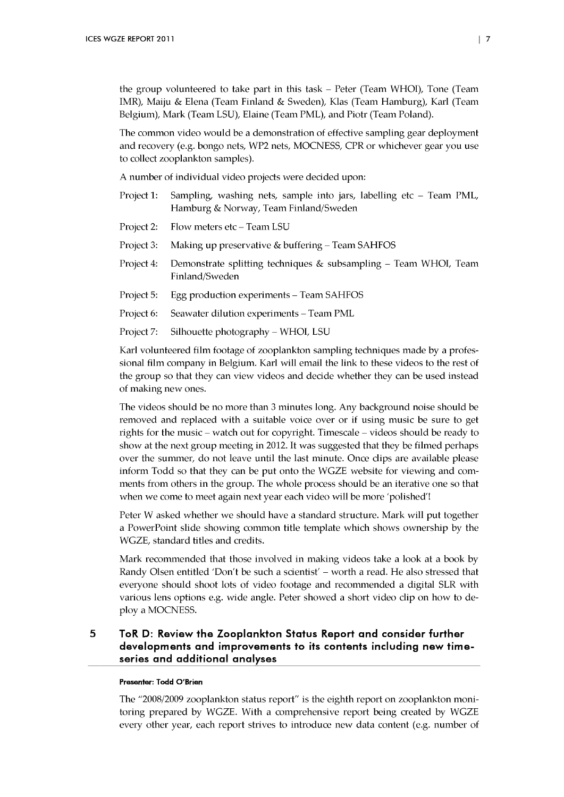the group volunteered to take part in this task - Peter (Team WHOI), Tone (Team IMR), Maiju & Elena (Team Finland & Sweden), Klas (Team Hamburg), Karl (Team Belgium), Mark (Team LSU), Elaine (Team PML), and Piotr (Team Poland).

The common video would be a demonstration of effective sampling gear deployment and recovery (e.g. bongo nets, WP2 nets, MOCNESS, CPR or w hichever gear you use to collect Zooplankton samples).

A number of individual video projects were decided upon:

- Project 1: Sampling, washing nets, sample into jars, labelling etc Team PML, Hamburg & Norway, Team Finland/Sweden
- Project 2: Flow meters etc Team LSU
- Project 3: Making up preservative & buffering Team SAHFOS
- Project 4: Demonstrate splitting techniques & subsampling Team WHOI, Team Finland/Sweden
- Project 5: Egg production experiments Team SAHFOS
- Project 6: Seawater dilution experiments Team PML
- Project 7: Silhouette photography WHOI, LSU

Karl volunteered film footage of zooplankton sampling techniques made by a professional film company in Belgium. Karl will email the link to these videos to the rest of the group so that they can view videos and decide w hether they can be used instead of making new ones.

The videos should be no more than 3 minutes long. Any background noise should be removed and replaced with a suitable voice over or if using music be sure to get rights for the music – watch out for copyright. Timescale – videos should be ready to show at the next group meeting in 2012. It was suggested that they be filmed perhaps over the summer, do not leave until the last minute. Once clips are available please inform Todd so that they can be put onto the WGZE website for viewing and comments from others in the group. The whole process should be an iterative one so that when we come to meet again next year each video will be more 'polished'!

Peter W asked whether we should have a standard structure. Mark will put together a PowerPoint slide showing common title template which shows ownership by the WGZE, standard titles and credits.

Mark recommended that those involved in making videos take a look at a book by Randy Olsen entitled 'Don't be such a scientist' - worth a read. He also stressed that everyone should shoot lots of video footage and recommended a digital SLR with various lens options e.g. wide angle. Peter showed a short video clip on how to deploy a MOCNESS.

#### 5 ToR D: Review the Zooplankton Status Report and consider further developments and improvements to its contents including new timeseries and additional analyses

#### **Presenter: Todd O'Brien**

The "2008/2009 zooplankton status report" is the eighth report on zooplankton monitoring prepared by WGZE. With a comprehensive report being created by WGZE every other year, each report strives to introduce new data content (e.g. number of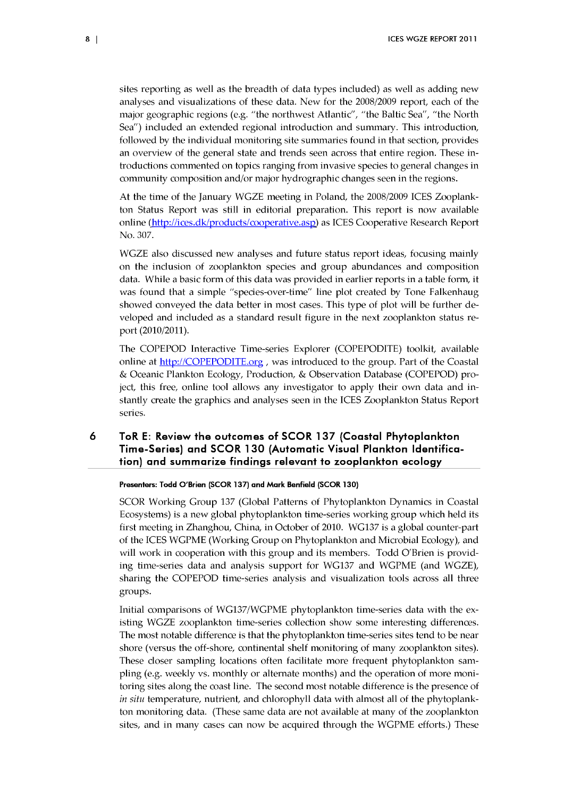sites reporting as well as the breadth of data types included) as well as adding new analyses and visualizations of these data. New for the 2008/2009 report, each of the major geographic regions (e.g. "the northwest Atlantic", "the Baltic Sea", "the North Sea") included an extended regional introduction and summary. This introduction, followed by the individual monitoring site summaries found in that section, provides an overview of the general state and trends seen across that entire region. These introductions commented on topics ranging from invasive species to general changes in community composition and/or major hydrographic changes seen in the regions.

At the time of the January WGZE meeting in Poland, the 2008/2009 ICES Zooplankton Status Report was still in editorial preparation. This report is now available online [\(http://ices.dk/products/cooperative.aspl](http://ices.dk/products/cooperative.aspl) as ICES Cooperative Research Report No. 307.

WGZE also discussed new analyses and future status report ideas, focusing mainly on the inclusion of zooplankton species and group abundances and composition data. While a basic form of this data was provided in earlier reports in a table form, it was found that a simple "species-over-time" line plot created by Tone Falkenhaug showed conveyed the data better in most cases. This type of plot will be further developed and included as a standard result figure in the next zooplankton status report (2010/2011).

The COPEPOD Interactive Time-series Explorer (COPEPODITE) toolkit, available online at <http://COPEPODITE.org>, was introduced to the group. Part of the Coastal & Oceanic Plankton Ecology, Production, & Observation Database (COPEPOD) project, this free, online tool allows any investigator to apply their own data and instantly create the graphics and analyses seen in the ICES Zooplankton Status Report series.

## 6 ToR E: Review the outcomes of SCOR 137 (Coastal Phytoplankton Time-Series) and SCOR 130 (Automatic Visual Plankton Identification) and summarize findings relevant to Zooplankton ecology

**Presenters: Todd O'Brien (SCOR 137) and Mark Benfield (SCOR 130)**

SCOR Working Group 137 (Global Patterns of Phytoplankton Dynamics in Coastal Ecosystems) is a new global phytoplankton time-series working group w hich held its first meeting in Zhanghou, China, in October of 2010. WG137 is a global counter-part of the ICES WGPME (Working Group on Phytoplankton and Microbial Ecology), and will work in cooperation with this group and its members. Todd O'Brien is providing time-series data and analysis support for WG137 and WGPME (and WGZE), sharing the COPEPOD time-series analysis and visualization tools across all three groups.

Initial comparisons of WG137/WGPME phytoplankton time-series data with the existing WGZE Zooplankton time-series colledion show some interesting differences. The most notable difference is that the phytoplankton time-series sites tend to be near shore (versus the off-shore, continental shelf monitoring of many zooplankton sites). These closer sampling locations often facilitate more frequent phytoplankton sampling (e.g. weekly vs. monthly or alternate months) and the operation of more monitoring sites along the coast line. The second most notable difference is the presence of *in situ* temperature, nutrient, and chlorophyll data with almost all of the phytoplankton monitoring data. (These same data are not available at many of the zooplankton sites, and in many cases can now be acquired through the WGPME efforts.) These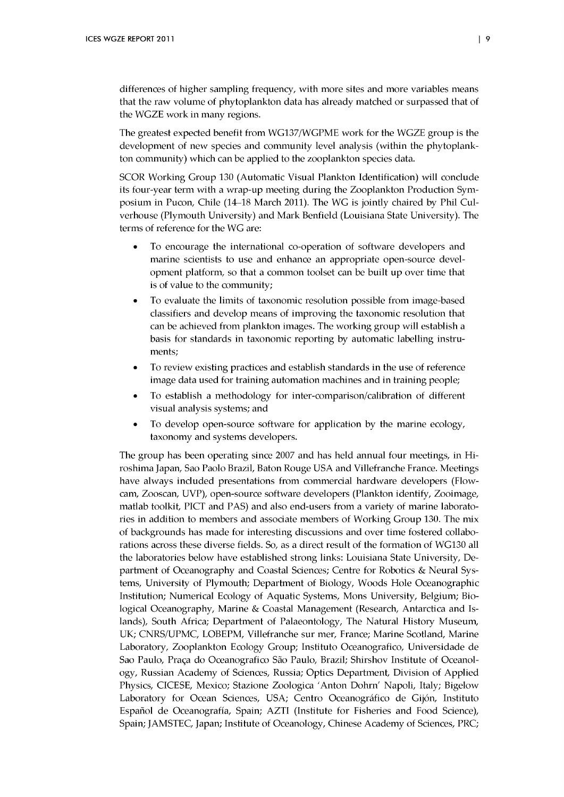differences of higher sampling frequency, with more sites and more variables means that the raw volume of phytoplankton data has already matched or surpassed that of the WGZE work in many regions.

The greatest expected benefit from WG137/WGPME work for the WGZE group is the development of new species and community level analysis (within the phytoplankton community) which can be applied to the zooplankton species data.

SCOR Working Group 130 (Automatic Visual Plankton Identification) will conclude its four-year term with a wrap-up meeting during the Zooplankton Production Symposium in Pucon, Chile (14–18 March 2011). The WG is jointly chaired by Phil Culverhouse (Plymouth University) and Mark Benfield (Louisiana State University). The terms of reference for the WG are:

- To encourage the international co-operation of software developers and marine scientists to use and enhance an appropriate open-source development platform, so that a common toolset can be built up over time that is of value to the community;
- To evaluate the limits of taxonomic resolution possible from image-based classifiers and develop means of improving the taxonomic resolution that can be achieved from plankton images. The working group will establish a basis for standards in taxonomic reporting by automatic labelling instruments;
- To review existing practices and establish standards in the use of reference image data used for training automation machines and in training people;
- To establish a methodology for inter-comparison/calibration of different visual analysis systems; and
- To develop open-source software for application by the marine ecology, taxonomy and systems developers.

The group has been operating since 2007 and has held annual four meetings, in Hiroshima Japan, Sao Paolo Brazil, Baton Rouge USA and Villefranche France. Meetings have always included presentations from commercial hardware developers (Flowcam, Zooscan, UVP), open-source software developers (Plankton identify, Zooimage, matlab toolkit, PICT and PAS) and also end-users from a variety of marine laboratories in addition to members and associate members of Working Group 130. The mix of backgrounds has m ade for interesting discussions and over time fostered collaborations across these diverse fields. So, as a direct result of the form ation of WG130 all the laboratories below have established strong links: Louisiana State University, Department of Oceanography and Coastal Sciences; Centre for Robotics & Neural Systems, University of Plymouth; Department of Biology, Woods Hole Oceanographic Institution; Numerical Ecology of Aquatic Systems, Mons University, Belgium; Biological Oceanography, Marine & Coastal Management (Research, Antarctica and Islands), South Africa; Department of Palaeontology, The Natural History Museum, UK; CNRS/UPMC, LOBEPM, Villefranche sur mer, France; Marine Scotland, Marine Laboratory, Zooplankton Ecology Group; Instituto Oceanografico, Universidade de Sao Paulo, Praça do Oceanografico São Paulo, Brazil; Shirshov Institute of Oceanology, Russian Academy of Sciences, Russia; Optics Department, Division of Applied Physics, CICESE, Mexico; Stazione Zoologica 'Anton Dohrn' Napoli, Italy; Bigelow Laboratory for Ocean Sciences, USA; Centro Oceanográfico de Gijón, Instituto Español de Oceanografía, Spain; AZTI (Institute for Fisheries and Food Science), Spain; JAMSTEC, Japan; Institute of Oceanology, Chinese Academy of Sciences, PRC;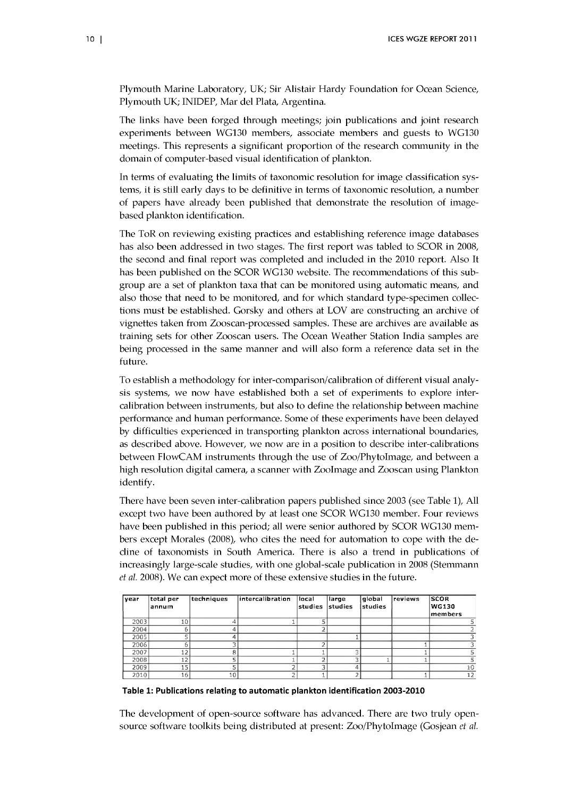Plymouth Marine Laboratory, UK; Sir Alistair Hardy Foundation for Ocean Science, Plymouth UK; INIDEP, Mar del Plata, Argentina.

The links have been forged through meetings; join publications and joint research experiments between WG130 members, associate members and guests to WG130 meetings. This represents a significant proportion of the research community in the domain of computer-based visual identification of plankton.

In terms of evaluating the limits of taxonomic resolution for image classification systems, it is still early days to be definitive in terms of taxonomic resolution, a number of papers have already been published that demonstrate the resolution of imagebased plankton identification.

The ToR on reviewing existing practices and establishing reference image databases has also been addressed in two stages. The first report was tabled to SCOR in 2008, the second and final report was completed and included in the 2010 report. Also It has been published on the SCOR WG130 website. The recommendations of this subgroup are a set of plankton taxa that can be monitored using automatic means, and also those that need to be monitored, and for which standard type-specimen collections must be established. Gorsky and others at LOV are constructing an archive of vignettes taken from Zooscan-processed samples. These are archives are available as training sets for other Zooscan users. The Ocean Weather Station India samples are being processed in the same manner and will also form a reference data set in the future.

To establish a methodology for inter-comparison/calibration of different visual analysis systems, we now have established both a set of experiments to explore intercalibration between instruments, but also to define the relationship between machine performance and human performance. Some of these experiments have been delayed by difficulties experienced in transporting plankton across international boundaries, as described above. However, we now are in a position to describe inter-calibrations between FlowCAM instruments through the use of Zoo/PhytoImage, and between a high resolution digital camera, a scanner with ZooImage and Zooscan using Plankton identify.

There have been seven inter-calibration papers published since 2003 (see Table 1), All except two have been authored by at least one SCOR WG130 member. Four reviews have been published in this period; all were senior authored by SCOR WG130 members except Morales (2008), who cites the need for automation to cope with the decline of taxonomists in South America. There is also a trend in publications of increasingly large-scale studies, with one global-scale publication in 2008 (Stemmann *et al.* 2008). We can expect more of these extensive studies in the future.

| vear | total per<br>annum | techniques | intercalibration | local<br>studies | large<br>studies | qlobal<br> studies | reviews | <b>SCOR</b><br><b>WG130</b> |
|------|--------------------|------------|------------------|------------------|------------------|--------------------|---------|-----------------------------|
|      |                    |            |                  |                  |                  |                    |         | members                     |
| 2003 | 10                 |            |                  |                  |                  |                    |         |                             |
| 2004 |                    |            |                  |                  |                  |                    |         |                             |
| 2005 |                    |            |                  |                  |                  |                    |         |                             |
| 2006 |                    |            |                  |                  |                  |                    |         |                             |
| 2007 | 12                 |            |                  |                  |                  |                    |         |                             |
| 2008 | 12                 |            |                  |                  |                  |                    |         |                             |
| 2009 | 15                 |            |                  |                  |                  |                    |         | 10                          |
| 2010 | 16                 | 10         | n                |                  |                  |                    |         | 12                          |

Table 1: Publications relating to automatic plankton identification 2003-2010

The development of open-source software has advanced. There are two truly opensource software toolkits being distributed at present: Zoo/Phytoim age (Gosjean *et al.*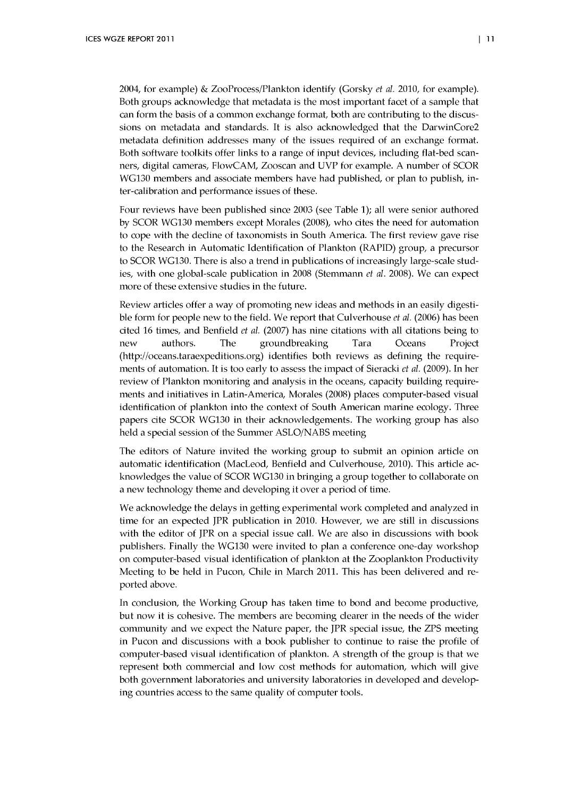2004, for example) & ZooProcess/Plankton identify (Gorsky *et al.* 2010, for example). Both groups acknowledge that metadata is the most important facet of a sample that can form the basis of a common exchange format, both are contributing to the discussions on metadata and standards. It is also acknowledged that the DarwinCore2 metadata definition addresses many of the issues required of an exchange format. Both software toolkits offer links to a range of input devices, including flat-bed scanners, digital cameras, FlowCAM, Zooscan and UVP for example. A number of SCOR WG130 members and associate members have had published, or plan to publish, inter-calibration and performance issues of these.

Four reviews have been published since 2003 (see Table 1); all were senior authored by SCOR WG130 members except Morales (2008), who cites the need for automation to cope with the decline of taxonomists in South America. The first review gave rise to the Research in Automatic Identification of Plankton (RAPID) group, a precursor to SCOR WG130. There is also a trend in publications of increasingly large-scale studies, with one global-scale publication in 2008 (Stemmann *et al.* 2008). We can expect more of these extensive studies in the future.

Review articles offer a way of promoting new ideas and methods in an easily digestible form for people new to the field. We report that Culverhouse *et al.* (2006) has been cited 16 times, and Benfield *et al.* (2007) has nine citations with all citations being to new authors. The groundbreaking Tara Oceans Projed (<http://oceans.taraexpeditions.org>) identifies both reviews as defining the requirements of automation. It is too early to assess the impact of Sieracki *et al.* (2009). In her review of Plankton monitoring and analysis in the oceans, capacity building requirements and initiatives in Latin-America, Morales (2008) places computer-based visual identification of plankton into the context of South American marine ecology. Three papers cite SCOR WG130 in their acknowledgements. The working group has also held a special session of the Summer ASLO/NABS meeting

The editors of Nature invited the working group to submit an opinion article on automatic identification (MacLeod, Benfield and Culverhouse, 2010). This article acknowledges the value of SCOR WG130 in bringing a group together to collaborate on a new technology theme and developing it over a period of time.

We acknowledge the delays in getting experimental work completed and analyzed in time for an expected JPR publication in 2010. However, we are still in discussions with the editor of JPR on a special issue call. We are also in discussions with book publishers. Finally the WG130 were invited to plan a conference one-day workshop on computer-based visual identification of plankton at the Zooplankton Productivity Meeting to be held in Pucon, Chile in March 2011. This has been delivered and reported above.

In conclusion, the Working Group has taken time to bond and become productive, but now it is cohesive. The members are becoming clearer in the needs of the wider community and we expect the Nature paper, the JPR special issue, the ZPS meeting in Pucon and discussions with a book publisher to continue to raise the profile of com puter-based visual identification of plankton. A strength of the group is that we represent both commercial and low cost methods for automation, which will give both government laboratories and university laboratories in developed and developing countries access to the same quality of computer tools.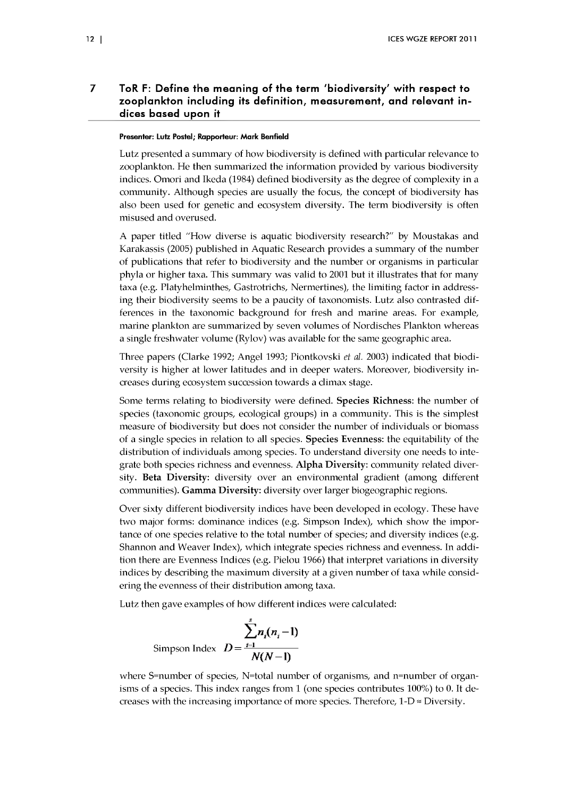#### $\overline{7}$ ToR F: Define the meaning of the term 'biodiversity' with respect to zooplankton including its definition, measurement, and relevant indices based upon it

#### **Presenter: Lutz Postel; Rapporteur: Mark Benfield**

Lutz presented a summary of how biodiversity is defined with particular relevance to zooplankton. He then summarized the information provided by various biodiversity indices. Omori and Ikeda (1984) defined biodiversity as the degree of complexity in a community. Although species are usually the focus, the concept of biodiversity has also been used for genetic and ecosystem diversity. The term biodiversity is often misused and overused.

A paper titled "How diverse is aquatic biodiversity research?" by Moustakas and Karakassis (2005) published in Aquatic Research provides a summary of the number of publications that refer to biodiversity and the num ber or organism s in particular phyla or higher taxa. This summary was valid to 2001 but it illustrates that for many taxa (e.g. Platyhelminthes, Gastrotrichs, Nermertines), the limiting factor in addressing their biodiversity seems to be a paucity of taxonomists. Lutz also contrasted differences in the taxonomic background for fresh and marine areas. For example, marine plankton are summarized by seven volumes of Nordisches Plankton whereas a single freshwater volume (Rylov) was available for the same geographic area.

Three papers (Clarke 1992; Angel 1993; Piontkovski *et al.* 2003) indicated that biodiversity is higher at lower latitudes and in deeper waters. Moreover, biodiversity increases during ecosystem succession tow ards a climax stage.

Some terms relating to biodiversity were defined. **Species Richness**: the number of species (taxonomic groups, ecological groups) in a community. This is the simplest measure of biodiversity but does not consider the number of individuals or biomass of a single species in relation to all species. **Species Evenness:** the equitability of the distribution of individuals among species. To understand diversity one needs to integrate both species richness and evenness. Alpha Diversity: community related diversity. **Beta Diversity:** diversity over an environmental gradient (among different communities). **Gamma Diversity:** diversity over larger biogeographic regions.

Over sixty different biodiversity indices have been developed in ecology. These have two major forms: dominance indices (e.g. Simpson Index), which show the importance of one species relative to the total number of species; and diversity indices (e.g. Shannon and Weaver Index), which integrate species richness and evenness. In addition there are Evenness Indices (e.g. Pielou 1966) that interpret variations in diversity indices by describing the maximum diversity at a given number of taxa while considering the evenness of their distribution among taxa.

Lutz then gave examples of how different indices were calculated:

$$
\sum_{i=1}^{s} n_i(n_i - 1)
$$
  
Simpson Index  $D = \frac{1}{N(N-1)}$ 

where S=number of species, N=total number of organisms, and n=number of organisms of a species. This index ranges from 1 (one species contributes 100%) to 0. It decreases with the increasing importance of more species. Therefore,  $1-D \approx$  Diversity.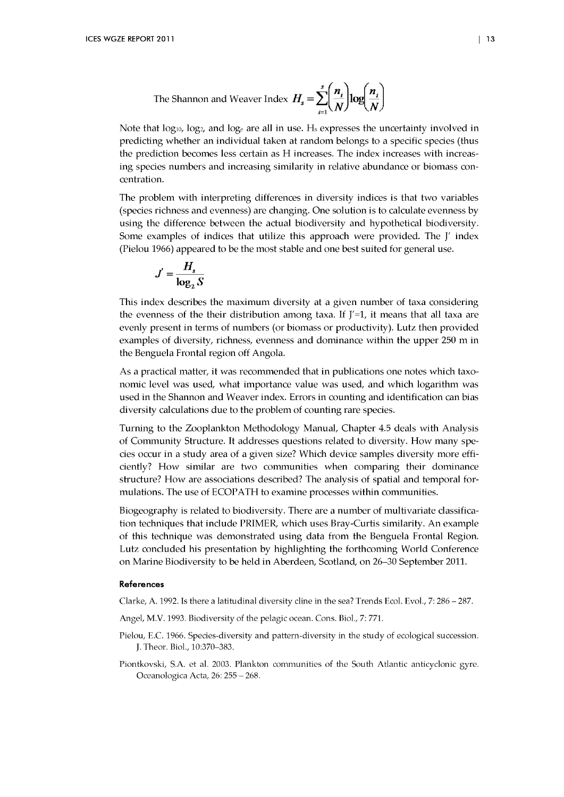The Shannon and Weaver Index 
$$
H_s = \sum_{i=1}^{s} \left( \frac{n_i}{N} \right) \log \left( \frac{n_i}{N} \right)
$$

Note that log<sub>10</sub>, log<sub>2</sub>, and log<sub>e</sub> are all in use. H<sub>s</sub> expresses the uncertainty involved in predicting w hether an individual taken at random belongs to a specific species (thus the prediction becomes less certain as H increases. The index increases with increasing species numbers and increasing similarity in relative abundance or biomass concentration.

The problem with interpreting differences in diversity indices is that two variables (species richness and evenness) are changing. One solution is to calculate evenness by using the difference between the actual biodiversity and hypothetical biodiversity. Some examples of indices that utilize this approach were provided. The J' index (Pielou 1966) appeared to be the most stable and one best suited for general use.

$$
J' = \frac{H_s}{\log_2 S}
$$

This index describes the maximum diversity at a given number of taxa considering the evenness of the their distribution among taxa. If  $J'=1$ , it means that all taxa are evenly present in terms of numbers (or biomass or productivity). Lutz then provided examples of diversity, richness, evenness and dominance within the upper 250 m in the Benguela Frontal region off Angola.

As a practical matter, it was recommended that in publications one notes which taxonomic level was used, what importance value was used, and which logarithm was used in the Shannon and Weaver index. Errors in counting and identification can bias diversity calculations due to the problem of counting rare species.

Turning to the Zooplankton Methodology Manual, Chapter 4.5 deals with Analysis of Community Structure. It addresses questions related to diversity. How many species occur in a study area of a given size? Which device samples diversity more efficiently? How similar are two communities when comparing their dominance structure? How are associations described? The analysis of spatial and temporal formulations. The use of ECOPATH to examine processes within communities.

Biogeography is related to biodiversity. There are a number of multivariate classification techniques that include PRIMER, w hich uses Bray-Curtis similarity. A n example of this technique was dem onstrated using data from the Benguela Frontal Region. Lutz concluded his presentation by highlighting the forthcoming World Conference on M arine Biodiversity to be held in Aberdeen, Scotland, on 26-30 September 2011.

#### **References**

Clarke, A. 1992. Is there a latitudinal diversity cline in the sea? Trends Ecol. Evol., 7: 286 - 287.

- Angel, M.V. 1993. Biodiversity of the pelagic ocean. Cons. Biol., 7: 771.
- Pielou, E.C. 1966. Species-diversity and pattern-diversity in the study of ecological succession. J. Theor. Biol., 10:370-383.
- Piontkovski, S.A. et al. 2003. Plankton communities of the South Atlantic anticyclonic gyre. Oceanologica Acta, 26: 255 - 268.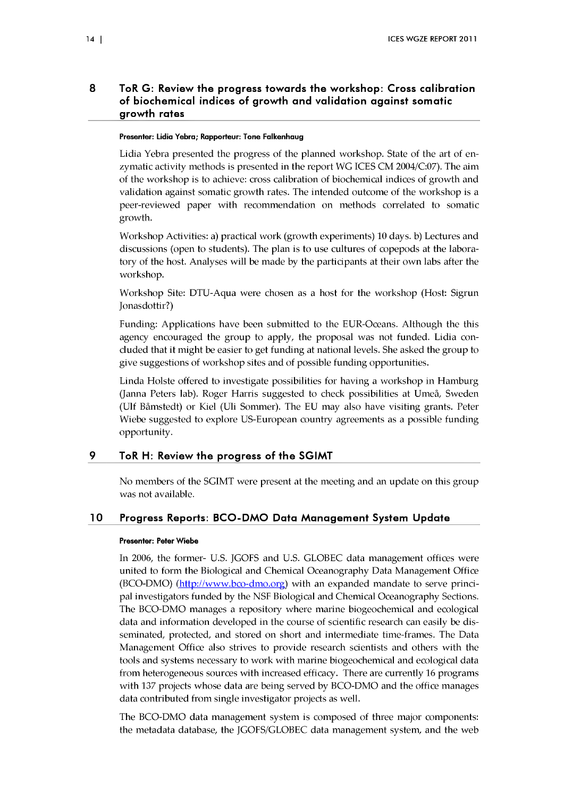## 8 ToR G: Review the progress towards the workshop: Cross calibration of biochemical indices of growth and validation against somatic growth rates

#### **Presenter: Lidia Yebra; Rapporteur: Tone Falkenhaug**

Lidia Yebra presented the progress of the planned workshop. State of the art of enzymatic activity methods is presented in the report WG ICES CM 2004/C:07). The aim of the workshop is to achieve: cross calibration of biochemical indices of growth and validation against somatic growth rates. The intended outcome of the workshop is a peer-reviewed paper with recommendation on methods correlated to somatic growth.

Workshop Activities: a) practical work (growth experiments) 10 days, b) Lectures and discussions (open to students). The plan is to use cultures of copepods at the laboratory of the host. Analyses will be made by the participants at their own labs after the workshop.

Workshop Site: DTU-Aqua were chosen as a host for the workshop (Host: Sigrun Jonasdottir?)

Funding: Applications have been submitted to the EUR-Oceans. Although the this agency encouraged the group to apply, the proposal was not funded. Lidia concluded that it might be easier to get funding at national levels. She asked the group to give suggestions of workshop sites and of possible funding opportunities.

Linda Holste offered to investigate possibilities for having a workshop in Hamburg (Janna Peters lab). Roger Harris suggested to check possibilities at Umeå, Sweden (Ulf Båmstedt) or Kiel (Uli Sommer). The EU may also have visiting grants. Peter Wiebe suggested to explore US-European country agreements as a possible funding opportunity.

## <span id="page-17-0"></span>9 ToR H: Review the progress of the SGIMT

No members of the SGIMT were present at the meeting and an update on this group was not available.

## <span id="page-17-1"></span>10 Progress Reports: BCO-DMO Data Management System Update

#### Presenter: Peter Wiebe

In 2006, the former- U.S. JGOFS and U.S. GLOBEC data management offices were united to form the Biological and Chemical Oceanography Data Management Office  $(BCO-DMO)$   $(\frac{http://www.bco-dmo.org}{http://www.bco-dmo.org})$  with an expanded mandate to serve principal investigators funded by the NSF Biological and Chemical Oceanography Sections. The BCO-DMO manages a repository where marine biogeochemical and ecological data and information developed in the course of scientific research can easily be disseminated, protected, and stored on short and intermediate time-frames. The Data Management Office also strives to provide research scientists and others with the tools and systems necessary to work with marine biogeochemical and ecological data from heterogeneous sources with increased efficacy. There are currently 16 programs with 137 projects whose data are being served by BCO-DMO and the office manages data contributed from single investigator projects as well.

The BCO-DMO data management system is composed of three major components: the metadata database, the JGOFS/GLOBEC data management system, and the web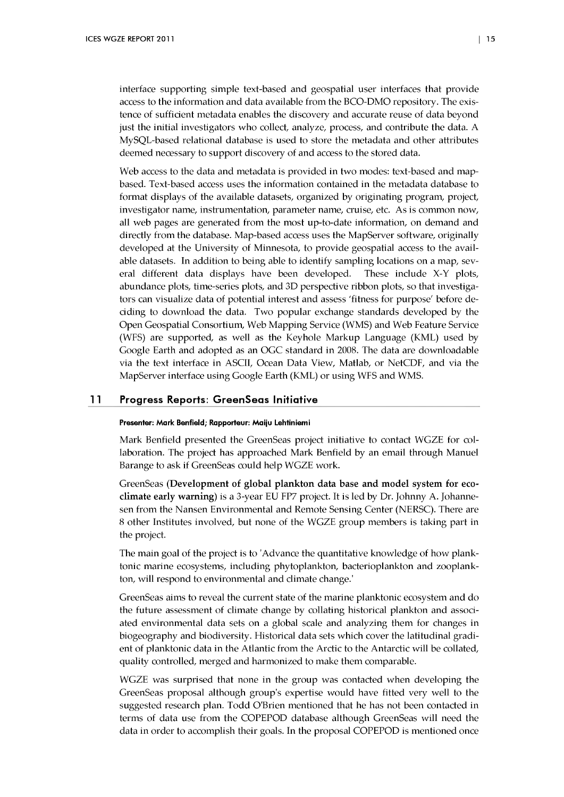interface supporting simple text-based and geospatial user interfaces that provide access to the information and data available from the BCO-DMO repository. The existence of sufficient metadata enables the discovery and accurate reuse of data beyond just the initial investigators who collect, analyze, process, and contribute the data. A MySQL-based relational database is used to store the metadata and other attributes deemed necessary to support discovery of and access to the stored data.

Web access to the data and metadata is provided in two modes: text-based and mapbased. Text-based access uses the information contained in the metadata database to format displays of the available datasets, organized by originating program, project, investigator name, instrum entation, parameter name, cruise, etc. As is common now, all web pages are generated from the most up-to-date information, on demand and directly from the database. Map-based access uses the MapServer software, originally developed at the University of Minnesota, to provide geospatial access to the available datasets. In addition to being able to identify sampling locations on a map, several different data displays have been developed. These include X-Y plots, abundance plots, time-series plots, and 3D perspective ribbon plots, so that investigators can visualize data of potential interest and assess 'fitness for purpose' before deciding to dow nload the data. Two popular exchange standards developed by the Open Geospatial Consortium, Web Mapping Service (WMS) and Web Feature Service (WFS) are supported, as well as the Keyhole Markup Language (KML) used by Google Earth and adopted as an OGC standard in 2008. The data are downloadable via the text interface in ASCII, Ocean Data View, Matlab, or NetCDF, and via the MapServer interface using Google Earth (KML) or using WFS and WMS.

## <span id="page-18-0"></span>11 Progress Reports: GreenSeas Initiative

#### **Presenter: Mark Benfield; Rapporteur: Maiju Lehtiniemi**

Mark Benfield presented the GreenSeas project initiative to contact WGZE for collaboration. The project has approached Mark Benfield by an email through Manuel Barange to ask if GreenSeas could help WGZE work.

GreenSeas (Development of global plankton data base and model system for eco**climate early warning)** is a 3-year EU FP7 project. It is led by Dr. Johnny A. Johannesen from the Nansen Environmental and Remote Sensing Center (NERSC). There are 8 other Institutes involved, but none of the WGZE group members is taking part in the project.

The main goal of the project is to 'Advance the quantitative knowledge of how planktonic marine ecosystems, including phytoplankton, bacterioplankton and zooplankton, will respond to environmental and climate change.'

GreenSeas aims to reveal the current state of the marine planktonic ecosystem and do the future assessment of climate change by collating historical plankton and associated environmental data sets on a global scale and analyzing them for changes in biogeography and biodiversity. Historical data sets which cover the latitudinal gradient of planktonic data in the Atlantic from the Arctic to the Antarctic will be collated, quality controlled, merged and harmonized to make them comparable.

WGZE was surprised that none in the group was contacted when developing the GreenSeas proposal although group's expertise would have fitted very well to the suggested research plan. Todd O'Brien mentioned that he has not been contacted in terms of data use from the COPEPOD database although GreenSeas will need the data in order to accomplish their goals. In the proposal COPEPOD is mentioned once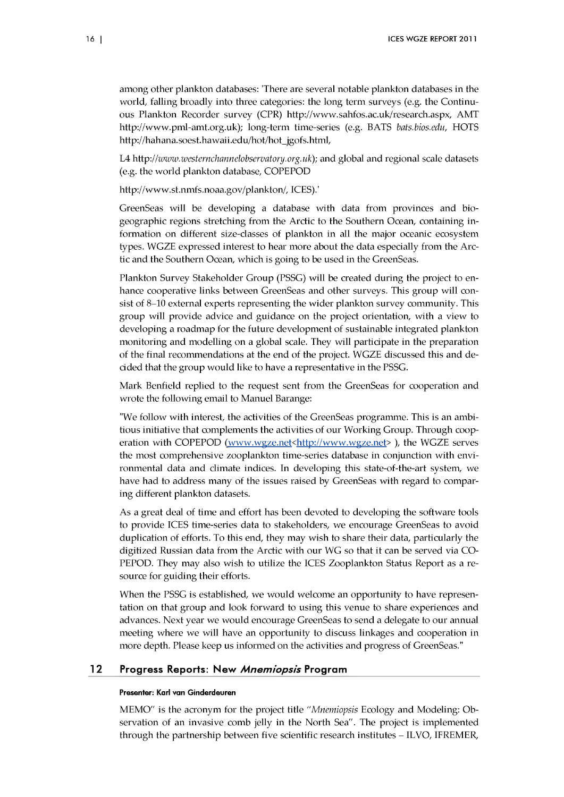am ong other plankton databases: 'There are several notable plankton databases in the world, falling broadly into three categories: the long term surveys (e.g. the Continuous Plankton Recorder survey (CPR) [http://www .sahfos.ac.uk/research.aspx](http://www.sahfos.ac.uk/research.aspx), AMT http://www.pml-amt.org.uk); long-term time-series (e.g. BATS *bats.bios.edu*, HOTS http://hahana.soest.hawaii.edu/hot/hot\_jgofs.html,

L4 http://www.westernchannelobservatory.org.uk); and global and regional scale datasets (e.g. the world plankton database, COPEPOD

[http://w w w .st.nnrfs.noaa.gov/plankton/,](http://www.st.nnrfs.noaa.gov/plankton/) ICES).'

GreenSeas will be developing a database with data from provinces and biogeographic regions stretching from the Arctic to the Southern Ocean, containing information on different size-classes of plankton in all the major oceanic ecosystem types. WGZE expressed interest to hear more about the data especially from the Arctic and the Southern Ocean, w hich is going to be used in the GreenSeas.

Plankton Survey Stakeholder Group (PSSG) will be created during the project to enhance cooperative links between GreenSeas and other surveys. This group will consist of 8-10 external experts representing the wider plankton survey community. This group will provide advice and guidance on the project orientation, with a view to developing a roadmap for the future development of sustainable integrated plankton monitoring and modelling on a global scale. They will participate in the preparation of the final recommendations at the end of the project. WGZE discussed this and decided that the group would like to have a representative in the PSSG.

Mark Benfield replied to the request sent from the GreenSeas for cooperation and wrote the following email to Manuel Barange:

"We follow with interest, the activities of the GreenSeas programme. This is an ambitious initiative that complements the activities of our Working Group. Through cooperation with COPEPOD (www.wgze.net < http://www.wgze.net >>>>>>, the WGZE serves the most comprehensive zooplankton time-series database in conjunction with environmental data and climate indices. In developing this state-of-the-art system, we have had to address many of the issues raised by GreenSeas with regard to comparing different plankton datasets.

As a great deal of time and effort has been devoted to developing the software tools to provide ICES time-series data to stakeholders, we encourage GreenSeas to avoid duplication of efforts. To this end, they may wish to share their data, particularly the digitized Russian data from the Arctic with our WG so that it can be served via CO-PEPOD. They may also wish to utilize the ICES Zooplankton Status Report as a resource for guiding their efforts.

When the PSSG is established, we would welcome an opportunity to have representation on that group and look forward to using this venue to share experiences and advances. Next year we would encourage GreenSeas to send a delegate to our annual meeting where we will have an opportunity to discuss linkages and cooperation in more depth. Please keep us informed on the activities and progress of GreenSeas."

#### <span id="page-19-0"></span>12 Progress Reports: New *Mnemiopsis* Program

#### **Presenter: Karl van Ginderdeuren**

MEMO" is the acronym for the project title *"Mnemiopsis* Ecology and Modeling: Observation of an invasive comb jelly in the North Sea". The project is implemented through the partnership between five scientific research institutes – ILVO, IFREMER,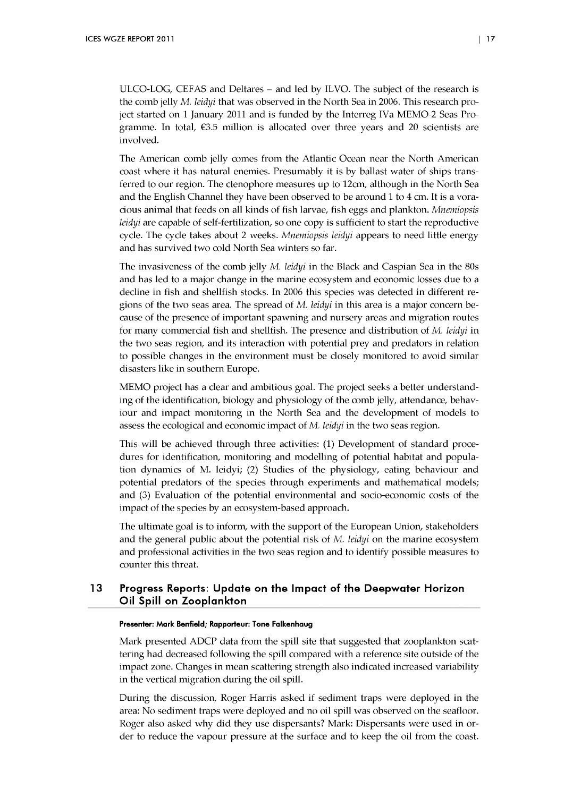ULCO-LOG, CEFAS and Deltares - and led by ILVO. The subject of the research is the comb jelly M. *leidyi* that was observed in the North Sea in 2006. This research project started on 1 January 2011 and is funded by the Interreg IVa MEMO-2 Seas Programme. In total,  $\epsilon$ 3.5 million is allocated over three years and 20 scientists are involved.

The American comb jelly comes from the Atlantic Ocean near the North American coast where it has natural enemies. Presumably it is by ballast water of ships transferred to our region. The ctenophore measures up to 12cm, although in the North Sea and the English Channel they have been observed to be around 1 to 4 cm. It is a voracious animal that feeds on all kinds of fish larvae, fish eggs and plankton. *Mnemiopsis leidyi* are capable of self-fertilization, so one copy is sufficient to start the reproductive cycle. The cycle takes about 2 weeks. *Mnemiopsis leidyi* appears to need little energy and has survived two cold North Sea winters so far.

The invasiveness of the comb jelly M. *leidyi* in the Black and Caspian Sea in the 80s and has led to a major change in the marine ecosystem and economic losses due to a decline in fish and shellfish stocks. In 2006 this species was detected in different regions of the two seas area. The spread of *M. leidyi* in this area is a major concern because of the presence of important spawning and nursery areas and migration routes for m any commercial fish and shellfish. The presence and distribution of M. *leidyi* in the two seas region, and its interaction with potential prey and predators in relation to possible changes in the environment must be closely monitored to avoid similar disasters like in southern Europe.

MEMO project has a clear and ambitious goal. The project seeks a better understanding of the identification, biology and physiology of the comb jelly, attendance, behaviour and impact monitoring in the North Sea and the development of models to assess the ecological and economic impact of M. leidyi in the two seas region.

This will be achieved through three activities: (1) Development of standard procedures for identification, monitoring and modelling of potential habitat and population dynamics of M. leidyi; (2) Studies of the physiology, eating behaviour and potential predators of the species through experiments and mathematical models; and (3) Evaluation of the potential environmental and socio-economic costs of the impact of the species by an ecosystem-based approach.

The ultimate goal is to inform, with the support of the European Union, stakeholders and the general public about the potential risk of M. *leidyi* on the marine ecosystem and professional activities in the two seas region and to identify possible measures to counter this threat.

## 13 Progress Reports: Update on the Impact of the Deepwater Horizon Oil Spill on Zooplankton

#### **Presenter: Mark Benfield; Rapporteur: Tone Falkenhaug**

Mark presented ADCP data from the spill site that suggested that zooplankton scattering had decreased following the spill compared with a reference site outside of the impact zone. Changes in mean scattering strength also indicated increased variability in the vertical migration during the oil spill.

During the discussion, Roger Harris asked if sediment traps were deployed in the area: No sediment traps were deployed and no oil spill was observed on the seafloor. Roger also asked why did they use dispersants? Mark: Dispersants were used in order to reduce the vapour pressure at the surface and to keep the oil from the coast.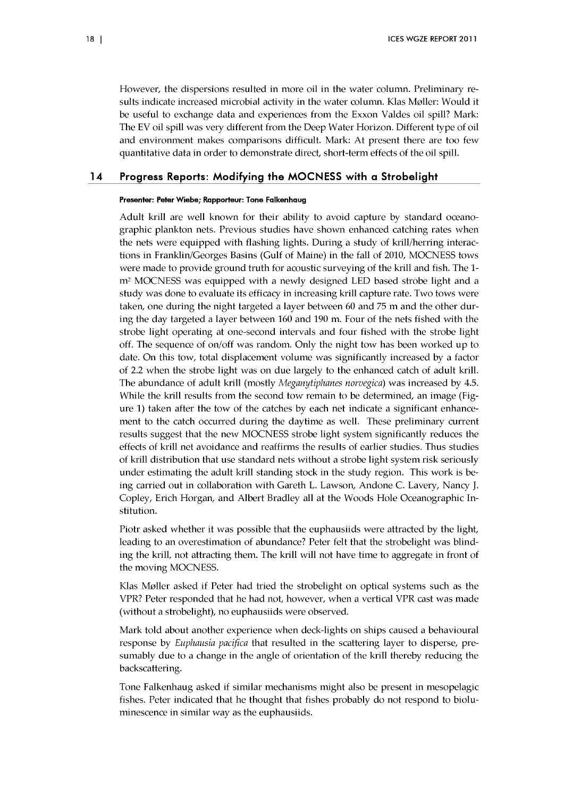However, the dispersions resulted in more oil in the water column. Preliminary results indicate increased microbial activity in the water column. Klas Møller: Would it be useful to exchange data and experiences from the Exxon Valdes oil spill? Mark: The EV oil spill was very different from the Deep Water Horizon. Different type of oil and environment makes comparisons difficult. Mark: At present there are too few quantitative data in order to demonstrate direct, short-term effects of the oil spill.

## <span id="page-21-0"></span>14 Progress Reports: Modifying the MOCNESS with a Strobelight

#### **Presenter: Peter W iebe; Rapporteur: Tone Falkenhaug**

Adult krill are well known for their ability to avoid capture by standard oceanographic plankton nets. Previous studies have shown enhanced catching rates when the nets were equipped with flashing lights. During a study of krill/herring interactions in Franklin/Georges Basins (Gulf of Maine) in the fall of 2010, MOCNESS tows were made to provide ground truth for acoustic surveying of the krill and fish. The 1 $m<sup>2</sup>$  MOCNESS was equipped with a newly designed LED based strobe light and a study was done to evaluate its efficacy in increasing krill capture rate. Two tows were taken, one during the night targeted a layer between 60 and 75 m and the other during the day targeted a layer between 160 and 190 m. Four of the nets fished with the strobe light operating at one-second intervals and four fished with the strobe light off. The sequence of on/off was random. Only the night tow has been worked up to date. On this tow, total displacement volume was significantly increased by a factor of 2.2 w hen the strobe light was on due largely to the enhanced catch of adult krill. The abundance of adult krill (mostly *Meganytiphanes norvegica*) was increased by 4.5. While the krill results from the second tow remain to be determined, an image (Figure 1) taken after the tow of the catches by each net indicate a significant enhancement to the catch occurred during the daytime as well. These preliminary current results suggest that the new MOCNESS strobe light system significantly reduces the effects of krill net avoidance and reaffirms the results of earlier studies. Thus studies of krill distribution that use standard nets without a strobe light system risk seriously under estimating the adult krill standing stock in the study region. This work is being carried out in collaboration with Gareth L. Lawson, Andone C. Lavery, Nancy J. Copley, Erich Horgan, and Albert Bradley all at the Woods Hole Oceanographic Institution.

Piotr asked whether it was possible that the euphausiids were attracted by the light, leading to an overestimation of abundance? Peter felt that the strobelight was blinding the krill, not attracting them. The krill will not have time to aggregate in front of the moving MOCNESS.

Klas Møller asked if Peter had tried the strobelight on optical systems such as the VPR? Peter responded that he had not, however, when a vertical VPR cast was made (without a strobelight), no euphausiids were observed.

Mark told about another experience when deck-lights on ships caused a behavioural response by *Euphausia pacifica* that resulted in the scattering layer to disperse, presum ably due to a change in the angle of orientation of the krill thereby reducing the backscattering.

Tone Falkenhaug asked if similar mechanisms might also be present in mesopelagic fishes. Peter indicated that he thought that fishes probably do not respond to bioluminescence in similar way as the euphausiids.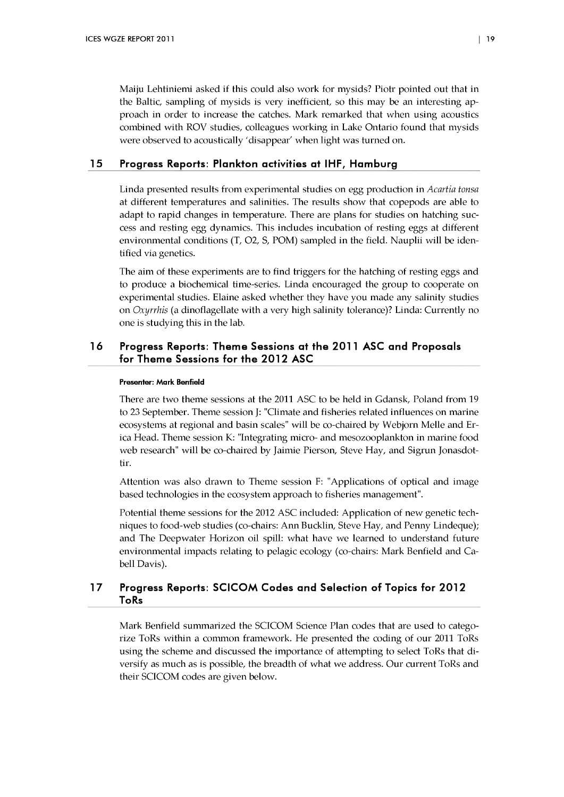Maiju Lehtiniemi asked if this could also work for mysids? Piotr pointed out that in the Baltic, sampling of mysids is very inefficient, so this may be an interesting approach in order to increase the catches. Mark remarked that when using acoustics combined with ROV studies, colleagues working in Lake Ontario found that mysids were observed to acoustically 'disappear' when light was turned on.

### 15 Progress Reports: Plankton activities at IHF, Hamburg

Linda presented results from experimental studies on egg production in *Acartia tonsa* at different tem peratures and salinities. The results show that copepods are able to adapt to rapid changes in temperature. There are plans for studies on hatching success and resting egg dynamics. This includes incubation of resting eggs at different environmental conditions (T, O2, S, POM) sampled in the field. Nauplii will be identified via genetics.

The aim of these experiments are to find triggers for the hatching of resting eggs and to produce a biochemical time-series. Linda encouraged the group to cooperate on experimental studies. Elaine asked whether they have you made any salinity studies on *Oxyrrhis* (a dinoflagellate with a very high salinity tolerance)? Linda: Currently no one is studying this in the lab.

## 16 Progress Reports: Theme Sessions at the 2011 ASC and Proposals for Theme Sessions for the 2012 ASC

#### **Presenter: Mark Benfield**

There are two theme sessions at the 2011 ASC to be held in Gdansk, Poland from 19 to 23 September. Theme session J: "Climate and fisheries related influences on marine ecosystems at regional and basin scales" will be co-chaired by W ebjorn Melle and Erica Head. Theme session K: "Integrating micro- and mesozooplankton in marine food web research" will be co-chaired by Jaimie Pierson, Steve Hay, and Sigrun Jonasdottir.

Attention was also drawn to Theme session F: "Applications of optical and image based technologies in the ecosystem approach to fisheries management".

Potential theme sessions for the 2012 ASC included: Application of new genetic techniques to food-web studies (co-chairs: A nn Bucklin, Steve Hay, and Penny Lindeque); and The Deepwater Horizon oil spill: what have we learned to understand future environmental impacts relating to pelagic ecology (co-chairs: Mark Benfield and Cabell Davis).

## 17 Progress Reports: SCICOM Codes and Selection of Topics for 2012 ToRs

Mark Benfield summarized the SCICOM Science Plan codes that are used to categorize ToRs within a common framework. He presented the coding of our 2011 ToRs using the scheme and discussed the importance of attempting to select ToRs that diversify as much as is possible, the breadth of what we address. Our current ToRs and their SCICOM codes are given below.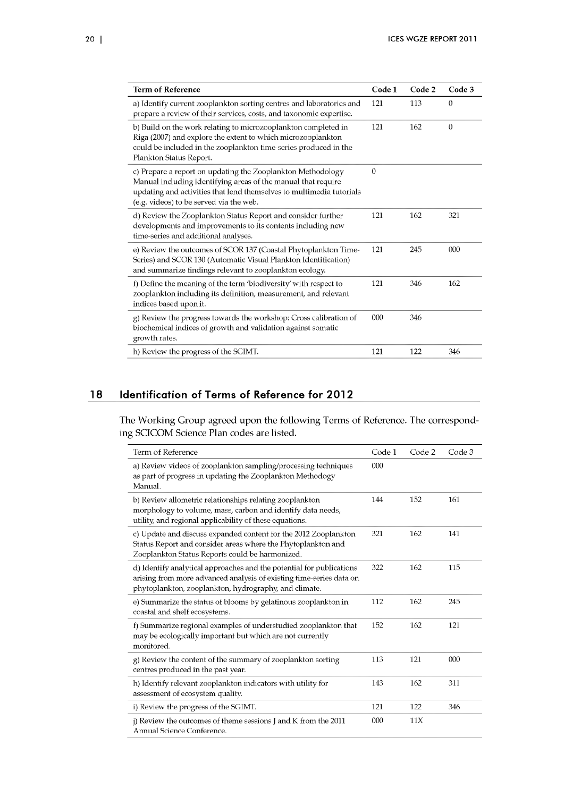| <b>Term of Reference</b>                                                                                                                                                                                                                        | Code 1         | Code 2 | Code 3   |
|-------------------------------------------------------------------------------------------------------------------------------------------------------------------------------------------------------------------------------------------------|----------------|--------|----------|
| a) Identify current zooplankton sorting centres and laboratories and<br>prepare a review of their services, costs, and taxonomic expertise.                                                                                                     | 121            | 113    | $\theta$ |
| b) Build on the work relating to microzooplankton completed in<br>Riga (2007) and explore the extent to which microzooplankton<br>could be included in the zooplankton time-series produced in the<br>Plankton Status Report.                   | 121            | 162    | $\theta$ |
| c) Prepare a report on updating the Zooplankton Methodology<br>Manual including identifying areas of the manual that require<br>updating and activities that lend themselves to multimedia tutorials<br>(e.g. videos) to be served via the web. | $\overline{0}$ |        |          |
| d) Review the Zooplankton Status Report and consider further<br>developments and improvements to its contents including new<br>time-series and additional analyses.                                                                             | 121            | 162    | 321      |
| e) Review the outcomes of SCOR 137 (Coastal Phytoplankton Time-<br>Series) and SCOR 130 (Automatic Visual Plankton Identification)<br>and summarize findings relevant to zooplankton ecology.                                                   | 121            | 245    | 000      |
| f) Define the meaning of the term 'biodiversity' with respect to<br>zooplankton including its definition, measurement, and relevant<br>indices based upon it.                                                                                   | 121            | 346    | 162      |
| g) Review the progress towards the workshop: Cross calibration of<br>biochemical indices of growth and validation against somatic<br>growth rates.                                                                                              | 000            | 346    |          |
| h) Review the progress of the SGIMT.                                                                                                                                                                                                            | 121            | 122    | 346      |

## 18 Identification of Terms of Reference for 2012

The Working Group agreed upon the following Terms of Reference. The corresponding SCICOM Science Plan codes are listed.

| Term of Reference                                                                                                                                                                                    | Code 1 | Code 2 | Code 3 |
|------------------------------------------------------------------------------------------------------------------------------------------------------------------------------------------------------|--------|--------|--------|
| a) Review videos of zooplankton sampling/processing techniques<br>as part of progress in updating the Zooplankton Methodogy<br>Manual.                                                               | 000    |        |        |
| b) Review allometric relationships relating zooplankton<br>morphology to volume, mass, carbon and identify data needs,<br>utility, and regional applicability of these equations.                    | 144    | 152    | 161    |
| c) Update and discuss expanded content for the 2012 Zooplankton<br>Status Report and consider areas where the Phytoplankton and<br>Zooplankton Status Reports could be harmonized.                   | 321    | 162    | 141    |
| d) Identify analytical approaches and the potential for publications<br>arising from more advanced analysis of existing time-series data on<br>phytoplankton, zooplankton, hydrography, and climate. | 322    | 162    | 115    |
| e) Summarize the status of blooms by gelatinous zooplankton in<br>coastal and shelf ecosystems.                                                                                                      | 112    | 162    | 245    |
| f) Summarize regional examples of understudied zooplankton that<br>may be ecologically important but which are not currently<br>monitored.                                                           | 152    | 162    | 121    |
| g) Review the content of the summary of zooplankton sorting<br>centres produced in the past year.                                                                                                    | 113    | 121    | 000    |
| h) Identify relevant zooplankton indicators with utility for<br>assessment of ecosystem quality.                                                                                                     | 143    | 162    | 311    |
| i) Review the progress of the SGIMT.                                                                                                                                                                 | 121    | 122    | 346    |
| $\mathbf{j}$ ) Review the outcomes of theme sessions J and K from the 2011<br>Annual Science Conference.                                                                                             | 000    | 11X    |        |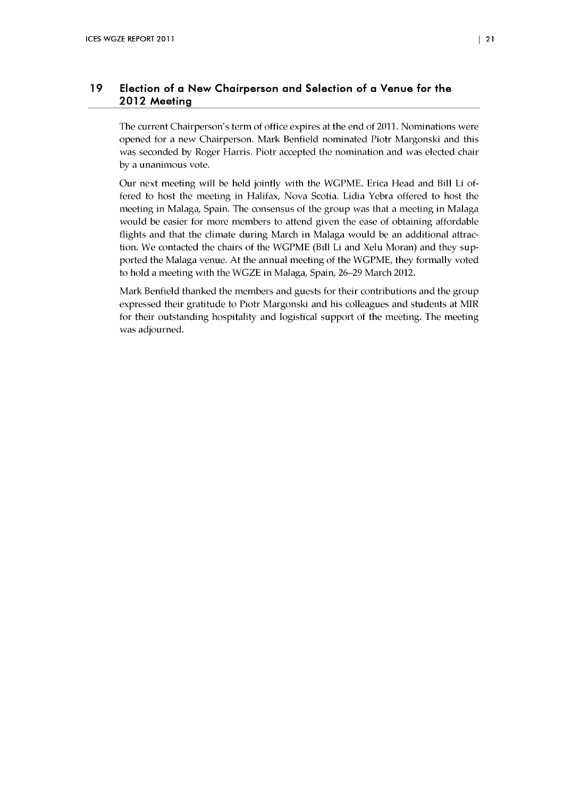## 19 Election of a New Chairperson and Selection of a Venue for the 2012 Meeting

The current Chairperson's term of office expires at the end of 2011. Nominations were opened for a new Chairperson. Mark Benfield nominated Piotr Margonski and this was seconded by Roger Harris. Piotr accepted the nomination and was elected chair by a unanimous vote.

Our next meeting will be held jointly with the WGPME. Erica Head and Bill Li offered to host the meeting in Halifax, Nova Scotia. Lidia Yebra offered to host the meeting in Malaga, Spain. The consensus of the group was that a meeting in Malaga would be easier for more members to attend given the ease of obtaining affordable flights and that the climate during March in Malaga would be an additional attraction. We contacted the chairs of the WGPME (Bill Li and Xelu Moran) and they supported the Malaga venue. At the annual meeting of the WGPME, they formally voted to hold a meeting with the WGZE in Malaga, Spain, 26–29 March 2012.

Mark Benfield thanked the members and guests for their contributions and the group expressed their gratitude to Piotr Margonski and his colleagues and students at MIR for their outstanding hospitality and logistical support of the meeting. The meeting was adjourned.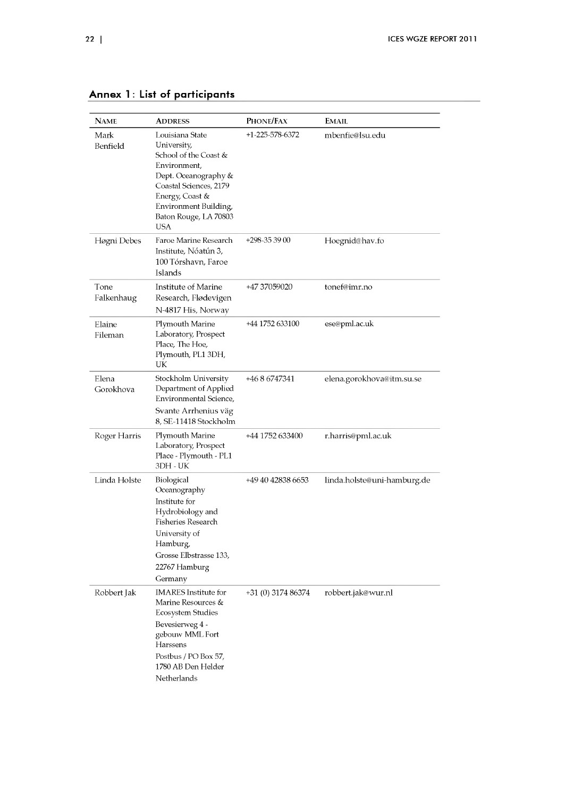| <b>NAME</b>        | <b>ADDRESS</b>                                                                                                                                                                                               | PHONE/FAX          | <b>EMAIL</b>                |
|--------------------|--------------------------------------------------------------------------------------------------------------------------------------------------------------------------------------------------------------|--------------------|-----------------------------|
| Mark<br>Benfield   | Louisiana State<br>University,<br>School of the Coast &<br>Environment,<br>Dept. Oceanography &<br>Coastal Sciences, 2179<br>Energy, Coast &<br>Environment Building,<br>Baton Rouge, LA 70803<br><b>USA</b> | +1-225-578-6372    | mbenfie@lsu.edu             |
| Høgni Debes        | Faroe Marine Research<br>Institute, Nóatún 3,<br>100 Tórshavn, Faroe<br>Islands                                                                                                                              | +298-35 39 00      | Hoegnid@hav.fo              |
| Tone<br>Falkenhaug | Institute of Marine<br>Research, Flødevigen<br>N-4817 His, Norway                                                                                                                                            | +47 37059020       | tonef@imr.no                |
| Elaine<br>Fileman  | Plymouth Marine<br>Laboratory, Prospect<br>Place, The Hoe,<br>Plymouth, PL1 3DH,<br>UK                                                                                                                       | +44 1752 633100    | ese@pml.ac.uk               |
| Elena<br>Gorokhova | Stockholm University<br>Department of Applied<br>Environmental Science,<br>Svante Arrhenius väg<br>8, SE-11418 Stockholm                                                                                     | +46 8 6747341      | elena.gorokhova@itm.su.se   |
| Roger Harris       | Plymouth Marine<br>Laboratory, Prospect<br>Place - Plymouth - PL1<br>3DH - UK                                                                                                                                | +44 1752 633400    | r.harris@pml.ac.uk          |
| Linda Holste       | Biological<br>Oceanography<br>Institute for<br>Hydrobiology and<br>Fisheries Research<br>University of<br>Hamburg,<br>Grosse Elbstrasse 133,<br>22767 Hamburg<br>Germany                                     | +49 40 42838 6653  | linda.holste@uni-hamburg.de |
| Robbert Jak        | <b>IMARES</b> Institute for<br>Marine Resources &<br>Ecosystem Studies<br>Bevesierweg 4 -<br>gebouw MML Fort<br>Harssens<br>Postbus / PO Box 57,<br>1780 AB Den Helder<br>Netherlands                        | +31 (0) 3174 86374 | robbert.jak@wur.nl          |

# Annex 1: List of participants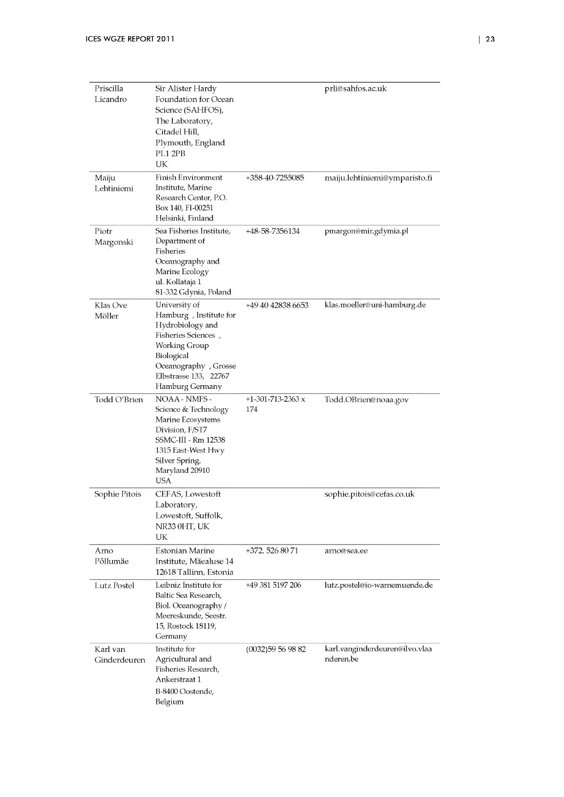| Priscilla<br>Licandro    | Sir Alister Hardy<br>Foundation for Ocean<br>Science (SAHFOS),<br>The Laboratory,<br>Citadel Hill,<br>Plymouth, England<br>PL1 2PB<br>UK                                               |                            | prli@sahfos.ac.uk                           |
|--------------------------|----------------------------------------------------------------------------------------------------------------------------------------------------------------------------------------|----------------------------|---------------------------------------------|
| Maiju<br>Lehtiniemi      | <b>Finish Environment</b><br>Institute, Marine<br>Research Center, P.O.<br>Box 140, FI-00251<br>Helsinki, Finland                                                                      | +358-40-7255085            | maiju.lehtiniemi@ymparisto.fi               |
| Piotr<br>Margonski       | Sea Fisheries Institute,<br>Department of<br>Fisheries<br>Oceanography and<br>Marine Ecology<br>ul. Kollataja 1<br>81-332 Gdynia, Poland                                               | +48-58-7356134             | pmargon@mir.gdymia.pl                       |
| Klas Ove<br>Möller       | University of<br>Hamburg, Institute for<br>Hydrobiology and<br>Fisheries Sciences,<br>Working Group<br>Biological<br>Oceanography , Grosse<br>Elbstrasse 133, 22767<br>Hamburg Germany | +49 40 42838 6653          | klas.moeller@uni-hamburg.de                 |
| Todd O'Brien             | NOAA - NMFS -<br>Science & Technology<br>Marine Ecosystems<br>Division, F/ST7<br>SSMC-III - Rm 12538<br>1315 East-West Hwy<br>Silver Spring,<br>Maryland 20910<br><b>USA</b>           | +1-301-713-2363 $x$<br>174 | Todd.OBrien@noaa.gov                        |
| Sophie Pitois            | CEFAS, Lowestoft<br>Laboratory,<br>Lowestoft, Suffolk,<br>NR33 0HT, UK<br>UK                                                                                                           |                            | sophie.pitois@cefas.co.uk                   |
| Arno<br>Põllumäe         | Estonian Marine<br>Institute, Mäealuse 14<br>12618 Tallinn, Estonia                                                                                                                    | +372. 526 80 71            | arno@sea.ee                                 |
| Lutz Postel              | Leibniz Institute for<br>Baltic Sea Research,<br>Biol. Oceanography /<br>Meereskunde, Seestr.<br>15, Rostock 18119,<br>Germany                                                         | +49 381 5197 206           | lutz.postel@io-warnemuende.de               |
| Karl van<br>Ginderdeuren | Institute for<br>Agricultural and<br>Fisheries Research,<br>Ankerstraat 1<br>B-8400 Oostende,<br>Belgium                                                                               | (0032)59569882             | karl.vanginderdeuren@ilvo.vlaa<br>nderen.be |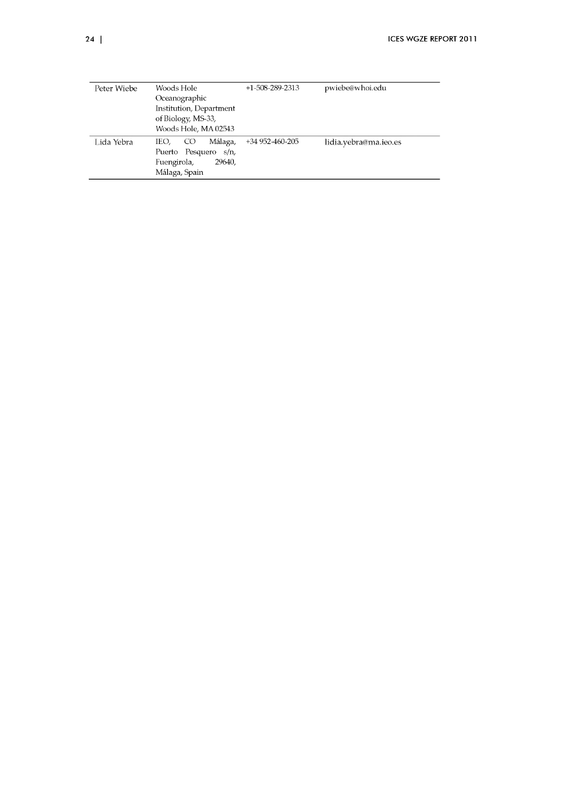| Peter Wiebe | Woods Hole                         | $+1-508-289-2313$ | pwiebe@whoi.edu       |
|-------------|------------------------------------|-------------------|-----------------------|
|             | Oceanographic                      |                   |                       |
|             | Institution, Department            |                   |                       |
|             | of Biology, MS-33,                 |                   |                       |
|             | Woods Hole, MA 02543               |                   |                       |
| Lida Yebra  | Málaga,<br>IEO,<br>CO <sub>.</sub> | +34 952-460-205   | lidia.yebra@ma.ieo.es |
|             | Puerto Pesquero s/n,               |                   |                       |
|             | Fuengirola,<br>29640,              |                   |                       |
|             | Málaga, Spain                      |                   |                       |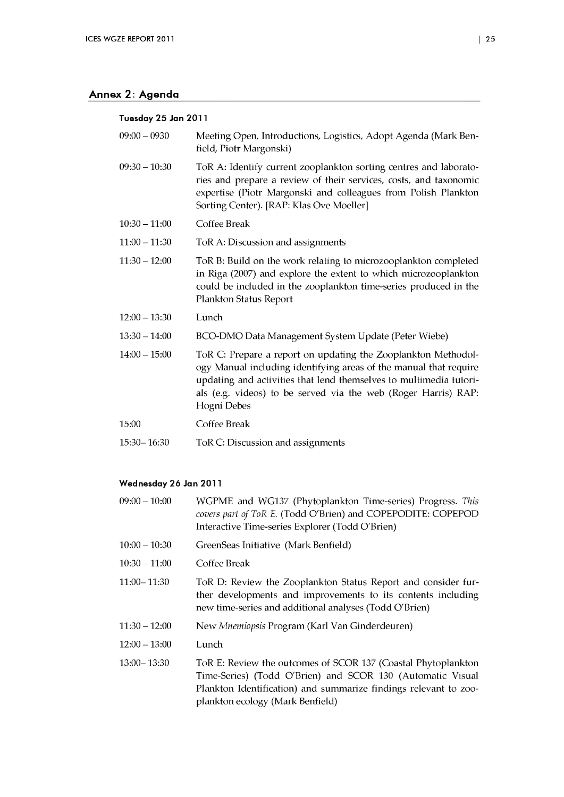## <span id="page-28-0"></span>Annex 2: Agenda

#### **Tuesday 25 Jan 2011**

| $09:00 - 0930$  | Meeting Open, Introductions, Logistics, Adopt Agenda (Mark Ben-<br>field, Piotr Margonski)                                                                                                                                                                                                |
|-----------------|-------------------------------------------------------------------------------------------------------------------------------------------------------------------------------------------------------------------------------------------------------------------------------------------|
| $09:30 - 10:30$ | ToR A: Identify current zooplankton sorting centres and laborato-<br>ries and prepare a review of their services, costs, and taxonomic<br>expertise (Piotr Margonski and colleagues from Polish Plankton<br>Sorting Center). [RAP: Klas Ove Moeller]                                      |
| $10:30 - 11:00$ | Coffee Break                                                                                                                                                                                                                                                                              |
| $11:00 - 11:30$ | ToR A: Discussion and assignments                                                                                                                                                                                                                                                         |
| $11:30 - 12:00$ | ToR B: Build on the work relating to microzooplankton completed<br>in Riga (2007) and explore the extent to which microzooplankton<br>could be included in the zooplankton time-series produced in the<br>Plankton Status Report                                                          |
| $12:00 - 13:30$ | Lunch                                                                                                                                                                                                                                                                                     |
| $13:30 - 14:00$ | BCO-DMO Data Management System Update (Peter Wiebe)                                                                                                                                                                                                                                       |
| $14:00 - 15:00$ | ToR C: Prepare a report on updating the Zooplankton Methodol-<br>ogy Manual including identifying areas of the manual that require<br>updating and activities that lend themselves to multimedia tutori-<br>als (e.g. videos) to be served via the web (Roger Harris) RAP:<br>Hogni Debes |
| 15:00           | Coffee Break                                                                                                                                                                                                                                                                              |
| $15:30 - 16:30$ | ToR C: Discussion and assignments                                                                                                                                                                                                                                                         |

## **Wednesday 26 Jan 2011**

- 09:00 -10:00 WGPME and WG137 (Phytoplankton Time-series) Progress. *This covers part of ToR E.* (Todd O'Brien) and COPEPODITE: COPEPOD Interactive Time-series Explorer (Todd O'Brien)
- 10:00 10:30 GreenSeas Initiative (Mark Benfield)
- 10:30-11:00 Coffee Break
- 11:00-11:30 ToR D: Review the Zooplankton Status Report and consider further developments and improvements to its contents including new time-series and additional analyses (Todd O'Brien)
- 11:30 12:00 New *Mnemiopsis* Program (Karl Van Ginderdeuren)
- 12:00 -13:00 Lunch
- 13:00-13:30 ToR E: Review the outcomes of SCOR 137 (Coastal Phytoplankton Time-Series) (Todd O'Brien) and SCOR 130 (Automatic Visual Plankton Identification) and summarize findings relevant to zooplankton ecology (Mark Benfield)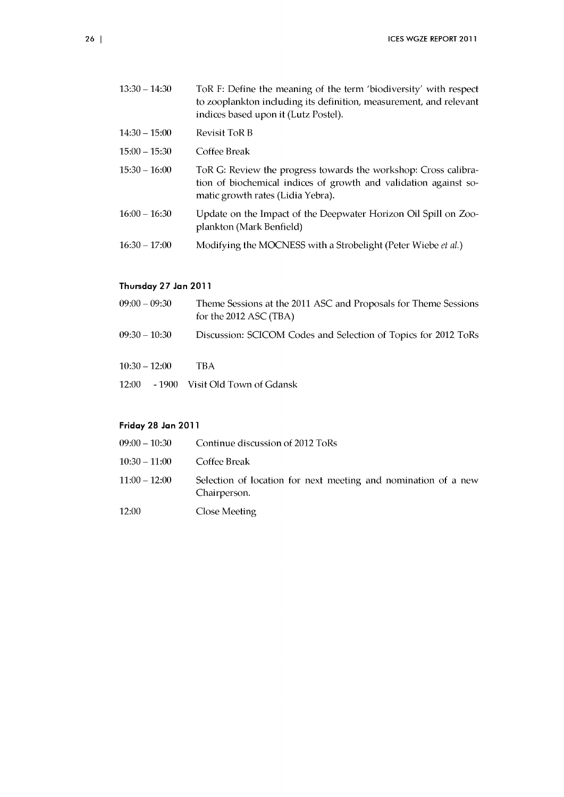| $13:30 - 14:30$ | ToR F: Define the meaning of the term 'biodiversity' with respect<br>to zooplankton including its definition, measurement, and relevant<br>indices based upon it (Lutz Postel). |
|-----------------|---------------------------------------------------------------------------------------------------------------------------------------------------------------------------------|
| $14:30 - 15:00$ | Revisit ToR B                                                                                                                                                                   |
| $15:00 - 15:30$ | Coffee Break                                                                                                                                                                    |
| $15:30 - 16:00$ | ToR G: Review the progress towards the workshop: Cross calibra-<br>tion of biochemical indices of growth and validation against so-<br>matic growth rates (Lidia Yebra).        |
| $16:00 - 16:30$ | Update on the Impact of the Deepwater Horizon Oil Spill on Zoo-<br>plankton (Mark Benfield)                                                                                     |
| $16:30 - 17:00$ | Modifying the MOCNESS with a Strobelight (Peter Wiebe et al.)                                                                                                                   |
|                 |                                                                                                                                                                                 |

## Thursday 27 Jan 2011

| $09:00 - 09:30$ | Theme Sessions at the 2011 ASC and Proposals for Theme Sessions<br>for the 2012 ASC $(TBA)$ |
|-----------------|---------------------------------------------------------------------------------------------|
| $09:30 - 10:30$ | Discussion: SCICOM Codes and Selection of Topics for 2012 ToRs                              |
| $10:30 - 12:00$ | TBA.                                                                                        |
|                 | 12:00 - 1900 Visit Old Town of Gdansk                                                       |

## Friday 28 Jan 2011

- 09:00 10:30 Continue discussion of 2012 ToRs
- 10:30-11:00 Coffee Break
- 11:00 12:00 Selection of location for next meeting and nomination of a new Chairperson.
- 12:00 Close Meeting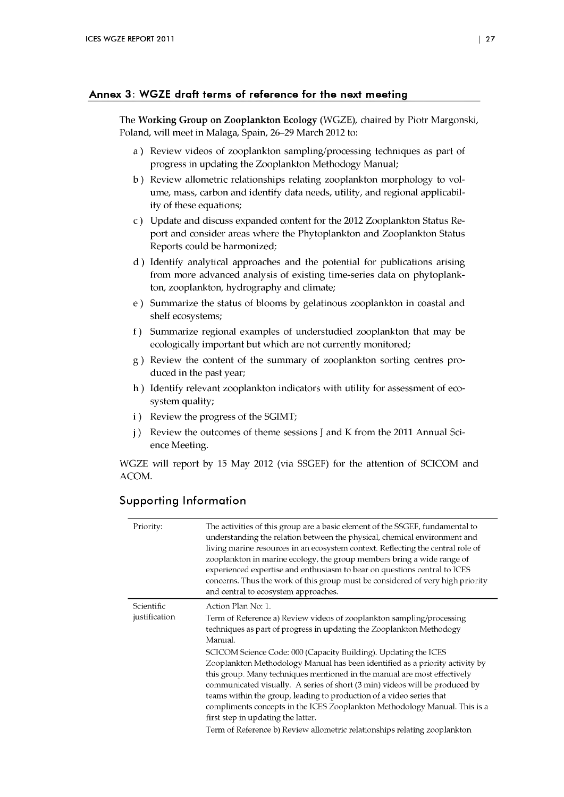## Annex 3: WGZE draft terms of reference for the next meeting

The **Working Group on Zooplankton Ecology** (WGZE), chaired by Piotr Margonski, Poland, will meet in Malaga, Spain, 26-29 March 2012 to:

- a) Review videos of zooplankton sampling/processing techniques as part of progress in updating the Zooplankton Methodogy Manual;
- b ) Review allometric relationships relating Zooplankton morphology to volume, mass, carbon and identify data needs, utility, and regional applicability of these equations;
- c ) U pdate and discuss expanded content for the 2012 Zooplankton Status Report and consider areas w here the Phytoplankton and Zooplankton Status Reports could be harmonized;
- d ) Identify analytical approaches and the potential for publications arising from more advanced analysis of existing time-series data on phytoplankton, zooplankton, hydrography and climate;
- e ) Summarize the status of blooms by gelatinous Zooplankton in coastal and shelf ecosystems;
- f) Summarize regional examples of understudied zooplankton that may be ecologically important but which are not currently monitored;
- g) Review the content of the summary of zooplankton sorting centres produced in the past year;
- h ) Identify relevant zooplankton indicators with utility for assessment of ecosystem quality;
- i ) Review the progress of the SGIMT;
- *j*) Review the outcomes of theme sessions J and K from the 2011 Annual Science Meeting.

WGZE will report by 15 May 2012 (via SSGEF) for the attention of SCICOM and ACOM.

## Supporting Information

| Priority:                   | The activities of this group are a basic element of the SSGEF, fundamental to<br>understanding the relation between the physical, chemical environment and<br>living marine resources in an ecosystem context. Reflecting the central role of<br>zooplankton in marine ecology, the group members bring a wide range of<br>experienced expertise and enthusiasm to bear on questions central to ICES<br>concerns. Thus the work of this group must be considered of very high priority<br>and central to ecosystem approaches.                                                                                                                                                                                                                                        |
|-----------------------------|-----------------------------------------------------------------------------------------------------------------------------------------------------------------------------------------------------------------------------------------------------------------------------------------------------------------------------------------------------------------------------------------------------------------------------------------------------------------------------------------------------------------------------------------------------------------------------------------------------------------------------------------------------------------------------------------------------------------------------------------------------------------------|
| Scientific<br>justification | Action Plan No: 1.<br>Term of Reference a) Review videos of zooplankton sampling/processing<br>techniques as part of progress in updating the Zooplankton Methodogy<br>Manual.<br>SCICOM Science Code: 000 (Capacity Building). Updating the ICES<br>Zooplankton Methodology Manual has been identified as a priority activity by<br>this group. Many techniques mentioned in the manual are most effectively<br>communicated visually. A series of short (3 min) videos will be produced by<br>teams within the group, leading to production of a video series that<br>compliments concepts in the ICES Zooplankton Methodology Manual. This is a<br>first step in updating the latter.<br>Term of Reference b) Review allometric relationships relating zooplankton |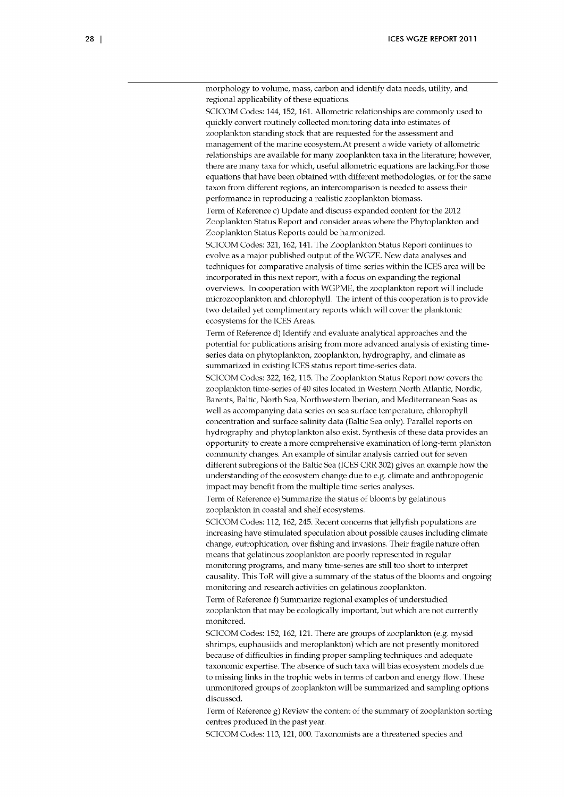morphology to volume, mass, carbon and identify data needs, utility, and regional applicability of these equations.

SCICOM Codes: 144, 152, 161. Allometric relationships are commonly used to quickly convert routinely collected monitoring data into estimates of Zooplankton standing stock that are requested for the assessment and management of the marine ecosystem. At present a wide variety of allometric relationships are available for many Zooplankton taxa in the literature; however, there are many taxa for which, useful allometric equations are lacking.For those equations that have been obtained w ith different methodologies, or for the same taxon from different regions, an intercomparison is needed to assess their performance in reproducing a realistic Zooplankton biomass.

Term of Reference c) Update and discuss expanded content for the 2012 Zooplankton Status Report and consider areas where the Phytoplankton and Zooplankton Status Reports could be harmonized.

SCICOM Codes: 321, 162, 141. The Zooplankton Status Report continues to evolve as a major published output of the WGZE. New data analyses and techniques for comparative analysis of time-series within the ICES area will be incorporated in this next report, with a focus on expanding the regional overviews. In cooperation with WGPME, the zooplankton report will include microzooplankton and chlorophyll. The intent of this cooperation is to provide two detailed yet complimentary reports which will cover the planktonic ecosystems for the ICES Areas.

Term of Reference d) Identify and evaluate analytical approaches and the potential for publications arising from more advanced analysis of existing timeseries data on phytoplankton, Zooplankton, hydrography, and climate as summarized in existing ICES status report time-series data.

SCICOM Codes: 322,162,115. The Zooplankton Status Report now covers the Zooplankton time-series of 40 sites located in Western North Atlantic, Nordic, Barents, Baltic, North Sea, Northwestern Iberian, and Mediterranean Seas as well as accompanying data series on sea surface temperature, chlorophyll concentration and surface salinity data (Baltic Sea only). Parallel reports on hydrography and phytoplankton also exist. Synthesis of these data provides an opportunity to create a more comprehensive examination of long-term plankton community changes. An example of similar analysis carried out for seven different subregions of the Baltic Sea (ICES CRR 302) gives an example how the understanding of the ecosystem change due to e.g. climate and anthropogenic impact may benefit from the multiple time-series analyses.

Term of Reference e) Summarize the status of blooms by gelatinous Zooplankton in coastal and shelf ecosystems.

SCICOM Codes: 112, 162, 245. Recent concerns that jellyfish populations are increasing have stimulated speculation about possible causes including climate change, eutrophication, over fishing and invasions. Their fragile nature often means that gelatinous Zooplankton are poorly represented in regular monitoring programs, and many time-series are still too short to interpret causality. This ToR will give a summary of the status of the blooms and ongoing monitoring and research activities on gelatinous Zooplankton.

Term of Reference f) Summarize regional examples of understudied zooplankton that may be ecologically important, but which are not currently monitored.

SCICOM Codes: 152, 162, 121. There are groups of zooplankton (e.g. mysid shrimps, euphausiids and meroplankton) which are not presently monitored because of difficulties in finding proper sampling techniques and adequate taxonomic expertise. The absence of such taxa will bias ecosystem models due to missing links in the trophic webs in terms of carbon and energy flow. These unmonitored groups of Zooplankton will be summarized and sampling options discussed.

Term of Reference g) Review the content of the summary of Zooplankton sorting centres produced in the past year.

SCICOM Codes: 113, 121, 000. Taxonomists are a threatened species and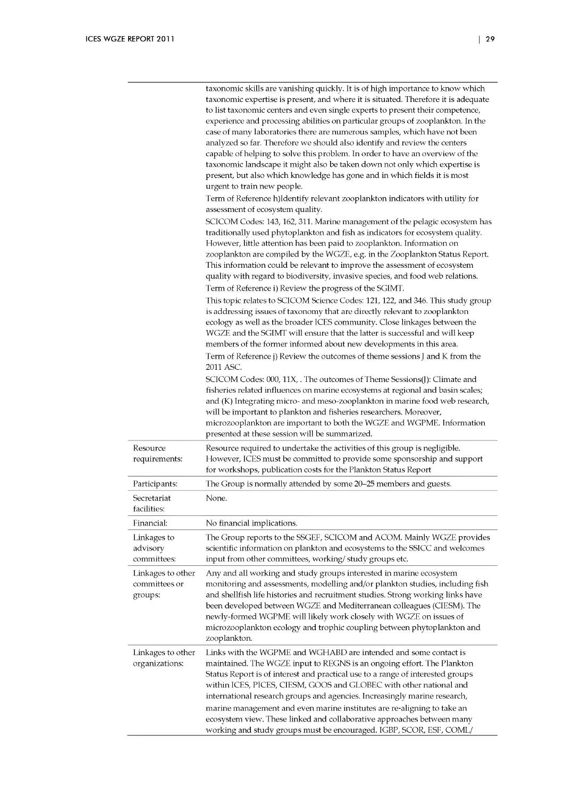|                                               | taxonomic skills are vanishing quickly. It is of high importance to know which<br>taxonomic expertise is present, and where it is situated. Therefore it is adequate<br>to list taxonomic centers and even single experts to present their competence,<br>experience and processing abilities on particular groups of zooplankton. In the<br>case of many laboratories there are numerous samples, which have not been<br>analyzed so far. Therefore we should also identify and review the centers<br>capable of helping to solve this problem. In order to have an overview of the<br>taxonomic landscape it might also be taken down not only which expertise is<br>present, but also which knowledge has gone and in which fields it is most<br>urgent to train new people.<br>Term of Reference h)Identify relevant zooplankton indicators with utility for<br>assessment of ecosystem quality.<br>SCICOM Codes: 143, 162, 311. Marine management of the pelagic ecosystem has<br>traditionally used phytoplankton and fish as indicators for ecosystem quality.<br>However, little attention has been paid to zooplankton. Information on<br>zooplankton are compiled by the WGZE, e.g. in the Zooplankton Status Report.<br>This information could be relevant to improve the assessment of ecosystem<br>quality with regard to biodiversity, invasive species, and food web relations.<br>Term of Reference i) Review the progress of the SGIMT.<br>This topic relates to SCICOM Science Codes: 121, 122, and 346. This study group<br>is addressing issues of taxonomy that are directly relevant to zooplankton<br>ecology as well as the broader ICES community. Close linkages between the<br>WGZE and the SGIMT will ensure that the latter is successful and will keep<br>members of the former informed about new developments in this area.<br>Term of Reference j) Review the outcomes of theme sessions J and K from the<br>2011 ASC.<br>SCICOM Codes: 000, 11X, . The outcomes of Theme Sessions(J): Climate and<br>fisheries related influences on marine ecosystems at regional and basin scales;<br>and (K) Integrating micro- and meso-zooplankton in marine food web research,<br>will be important to plankton and fisheries researchers. Moreover,<br>microzooplankton are important to both the WGZE and WGPME. Information |
|-----------------------------------------------|--------------------------------------------------------------------------------------------------------------------------------------------------------------------------------------------------------------------------------------------------------------------------------------------------------------------------------------------------------------------------------------------------------------------------------------------------------------------------------------------------------------------------------------------------------------------------------------------------------------------------------------------------------------------------------------------------------------------------------------------------------------------------------------------------------------------------------------------------------------------------------------------------------------------------------------------------------------------------------------------------------------------------------------------------------------------------------------------------------------------------------------------------------------------------------------------------------------------------------------------------------------------------------------------------------------------------------------------------------------------------------------------------------------------------------------------------------------------------------------------------------------------------------------------------------------------------------------------------------------------------------------------------------------------------------------------------------------------------------------------------------------------------------------------------------------------------------------------------------------------------------------------------------------------------------------------------------------------------------------------------------------------------------------------------------------------------------------------------------------------------------------------------------------------------------------------------------------------------------------------------------------------------------------------------------------------------------------------------------|
|                                               | presented at these session will be summarized.                                                                                                                                                                                                                                                                                                                                                                                                                                                                                                                                                                                                                                                                                                                                                                                                                                                                                                                                                                                                                                                                                                                                                                                                                                                                                                                                                                                                                                                                                                                                                                                                                                                                                                                                                                                                                                                                                                                                                                                                                                                                                                                                                                                                                                                                                                         |
| Resource<br>requirements:                     | Resource required to undertake the activities of this group is negligible.<br>However, ICES must be committed to provide some sponsorship and support<br>for workshops, publication costs for the Plankton Status Report                                                                                                                                                                                                                                                                                                                                                                                                                                                                                                                                                                                                                                                                                                                                                                                                                                                                                                                                                                                                                                                                                                                                                                                                                                                                                                                                                                                                                                                                                                                                                                                                                                                                                                                                                                                                                                                                                                                                                                                                                                                                                                                               |
| Participants:                                 | The Group is normally attended by some 20-25 members and guests.                                                                                                                                                                                                                                                                                                                                                                                                                                                                                                                                                                                                                                                                                                                                                                                                                                                                                                                                                                                                                                                                                                                                                                                                                                                                                                                                                                                                                                                                                                                                                                                                                                                                                                                                                                                                                                                                                                                                                                                                                                                                                                                                                                                                                                                                                       |
| Secretariat<br>facilities:                    | None.                                                                                                                                                                                                                                                                                                                                                                                                                                                                                                                                                                                                                                                                                                                                                                                                                                                                                                                                                                                                                                                                                                                                                                                                                                                                                                                                                                                                                                                                                                                                                                                                                                                                                                                                                                                                                                                                                                                                                                                                                                                                                                                                                                                                                                                                                                                                                  |
| Financial:                                    | No financial implications.                                                                                                                                                                                                                                                                                                                                                                                                                                                                                                                                                                                                                                                                                                                                                                                                                                                                                                                                                                                                                                                                                                                                                                                                                                                                                                                                                                                                                                                                                                                                                                                                                                                                                                                                                                                                                                                                                                                                                                                                                                                                                                                                                                                                                                                                                                                             |
| Linkages to<br>advisory<br>committees:        | The Group reports to the SSGEF, SCICOM and ACOM. Mainly WGZE provides<br>scientific information on plankton and ecosystems to the SSICC and welcomes<br>input from other committees, working/study groups etc.                                                                                                                                                                                                                                                                                                                                                                                                                                                                                                                                                                                                                                                                                                                                                                                                                                                                                                                                                                                                                                                                                                                                                                                                                                                                                                                                                                                                                                                                                                                                                                                                                                                                                                                                                                                                                                                                                                                                                                                                                                                                                                                                         |
| Linkages to other<br>committees or<br>groups: | Any and all working and study groups interested in marine ecosystem<br>monitoring and assessments, modelling and/or plankton studies, including fish<br>and shellfish life histories and recruitment studies. Strong working links have<br>been developed between WGZE and Mediterranean colleagues (CIESM). The<br>newly-formed WGPME will likely work closely with WGZE on issues of<br>microzooplankton ecology and trophic coupling between phytoplankton and<br>zooplankton.                                                                                                                                                                                                                                                                                                                                                                                                                                                                                                                                                                                                                                                                                                                                                                                                                                                                                                                                                                                                                                                                                                                                                                                                                                                                                                                                                                                                                                                                                                                                                                                                                                                                                                                                                                                                                                                                      |
| Linkages to other<br>organizations:           | Links with the WGPME and WGHABD are intended and some contact is<br>maintained. The WGZE input to REGNS is an ongoing effort. The Plankton<br>Status Report is of interest and practical use to a range of interested groups<br>within ICES, PICES, CIESM, GOOS and GLOBEC with other national and<br>international research groups and agencies. Increasingly marine research,<br>marine management and even marine institutes are re-aligning to take an<br>ecosystem view. These linked and collaborative approaches between many                                                                                                                                                                                                                                                                                                                                                                                                                                                                                                                                                                                                                                                                                                                                                                                                                                                                                                                                                                                                                                                                                                                                                                                                                                                                                                                                                                                                                                                                                                                                                                                                                                                                                                                                                                                                                   |

working and study groups must be encouraged. IGBP, SCOR, ESF, COML/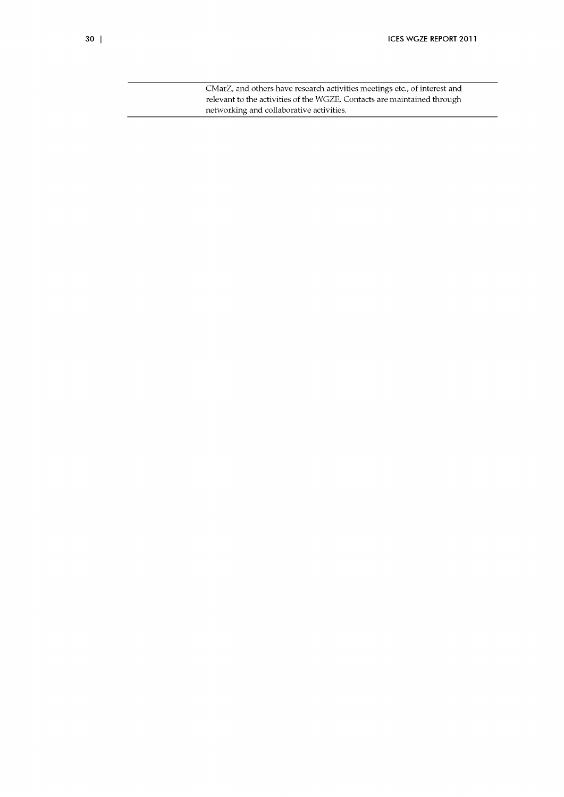CMarZ, and others have research activities meetings etc., of interest and relevant to the activities of the WGZE. Contacts are maintained through networking and collaborative activities.